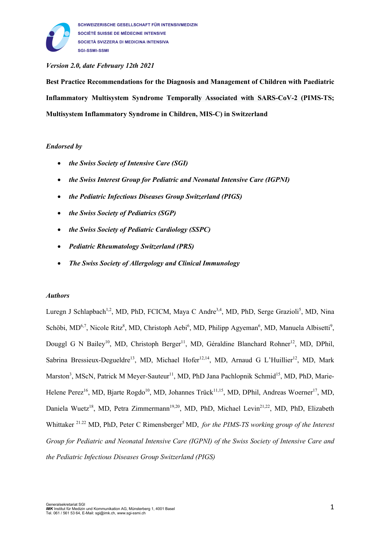

## *Version 2.0, date February 12th 2021*

**Best Practice Recommendations for the Diagnosis and Management of Children with Paediatric Inflammatory Multisystem Syndrome Temporally Associated with SARS-CoV-2 (PIMS-TS; Multisystem Inflammatory Syndrome in Children, MIS-C) in Switzerland**

## *Endorsed by*

- *the Swiss Society of Intensive Care (SGI)*
- *the Swiss Interest Group for Pediatric and Neonatal Intensive Care (IGPNI)*
- *the Pediatric Infectious Diseases Group Switzerland (PIGS)*
- *the Swiss Society of Pediatrics (SGP)*
- *the Swiss Society of Pediatric Cardiology (SSPC)*
- *Pediatric Rheumatology Switzerland (PRS)*
- *The Swiss Society of Allergology and Clinical Immunology*

#### *Authors*

Luregn J Schlapbach<sup>1,2</sup>, MD, PhD, FCICM, Maya C Andre<sup>3,4</sup>, MD, PhD, Serge Grazioli<sup>5</sup>, MD, Nina Schöbi, MD<sup>6,7</sup>, Nicole Ritz<sup>8</sup>, MD, Christoph Aebi<sup>6</sup>, MD, Philipp Agyeman<sup>6</sup>, MD, Manuela Albisetti<sup>9</sup>, Douggl G N Bailey<sup>10</sup>, MD, Christoph Berger<sup>11</sup>, MD, Géraldine Blanchard Rohner<sup>12</sup>, MD, DPhil, Sabrina Bressieux-Degueldre<sup>13</sup>, MD, Michael Hofer<sup>12,14</sup>, MD, Arnaud G L'Huillier<sup>12</sup>, MD, Mark Marston<sup>3</sup>, MScN, Patrick M Meyer-Sauteur<sup>11</sup>, MD, PhD Jana Pachlopnik Schmid<sup>15</sup>, MD, PhD, Marie-Helene Perez<sup>16</sup>, MD, Bjarte Rogdo<sup>10</sup>, MD, Johannes Trück<sup>11,15</sup>, MD, DPhil, Andreas Woerner<sup>17</sup>, MD, Daniela Wuetz<sup>18</sup>, MD, Petra Zimmermann<sup>19,20</sup>, MD, PhD, Michael Levin<sup>21,22</sup>, MD, PhD, Elizabeth Whittaker <sup>21.22</sup> MD, PhD, Peter C Rimensberger<sup>5</sup> MD, *for the PIMS-TS working group of the Interest Group for Pediatric and Neonatal Intensive Care (IGPNI) of the Swiss Society of Intensive Care and the Pediatric Infectious Diseases Group Switzerland (PIGS)*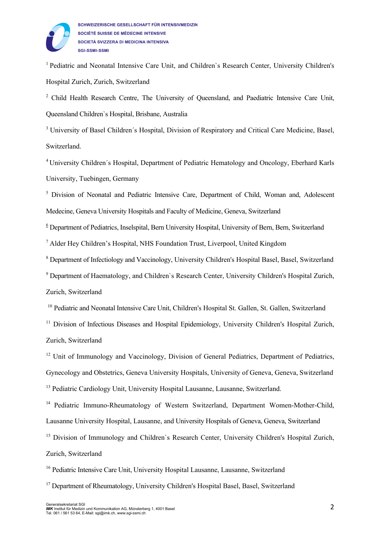

<sup>1</sup> Pediatric and Neonatal Intensive Care Unit, and Children's Research Center, University Children's Hospital Zurich, Zurich, Switzerland

<sup>2</sup> Child Health Research Centre, The University of Oueensland, and Paediatric Intensive Care Unit, Queensland Children`s Hospital, Brisbane, Australia

<sup>3</sup> University of Basel Children's Hospital, Division of Respiratory and Critical Care Medicine, Basel, Switzerland.

<sup>4</sup> University Children´s Hospital, Department of Pediatric Hematology and Oncology, Eberhard Karls University, Tuebingen, Germany

<sup>5</sup> Division of Neonatal and Pediatric Intensive Care, Department of Child, Woman and, Adolescent Medecine, Geneva University Hospitals and Faculty of Medicine, Geneva, Switzerland

 $6$  Department of Pediatrics, Inselspital, Bern University Hospital, University of Bern, Bern, Switzerland

<sup>7</sup> Alder Hey Children's Hospital, NHS Foundation Trust, Liverpool, United Kingdom

<sup>8</sup> Department of Infectiology and Vaccinology, University Children's Hospital Basel, Basel, Switzerland

<sup>9</sup> Department of Haematology, and Children's Research Center, University Children's Hospital Zurich, Zurich, Switzerland

<sup>10</sup> Pediatric and Neonatal Intensive Care Unit, Children's Hospital St. Gallen, St. Gallen, Switzerland

<sup>11</sup> Division of Infectious Diseases and Hospital Epidemiology, University Children's Hospital Zurich, Zurich, Switzerland

<sup>12</sup> Unit of Immunology and Vaccinology, Division of General Pediatrics, Department of Pediatrics, Gynecology and Obstetrics, Geneva University Hospitals, University of Geneva, Geneva, Switzerland

<sup>13</sup> Pediatric Cardiology Unit, University Hospital Lausanne, Lausanne, Switzerland.

<sup>14</sup> Pediatric Immuno-Rheumatology of Western Switzerland, Department Women-Mother-Child, Lausanne University Hospital, Lausanne, and University Hospitals of Geneva, Geneva, Switzerland

<sup>15</sup> Division of Immunology and Children's Research Center, University Children's Hospital Zurich, Zurich, Switzerland

<sup>16</sup> Pediatric Intensive Care Unit, University Hospital Lausanne, Lausanne, Switzerland

<sup>17</sup> Department of Rheumatology, University Children's Hospital Basel, Basel, Switzerland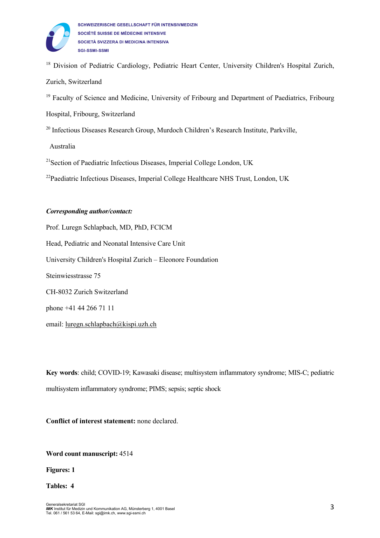

<sup>18</sup> Division of Pediatric Cardiology, Pediatric Heart Center, University Children's Hospital Zurich, Zurich, Switzerland

<sup>19</sup> Faculty of Science and Medicine, University of Fribourg and Department of Paediatrics, Fribourg

Hospital, Fribourg, Switzerland

<sup>20</sup> Infectious Diseases Research Group, Murdoch Children's Research Institute, Parkville,

Australia

<sup>21</sup> Section of Paediatric Infectious Diseases, Imperial College London, UK

<sup>22</sup> Paediatric Infectious Diseases, Imperial College Healthcare NHS Trust, London, UK

#### *Corresponding author/contact:*

Prof. Luregn Schlapbach, MD, PhD, FCICM Head, Pediatric and Neonatal Intensive Care Unit University Children's Hospital Zurich – Eleonore Foundation Steinwiesstrasse 75 CH-8032 Zurich Switzerland phone +41 44 266 71 11

email: luregn.schlapbach@kispi.uzh.ch

**Key words**: child; COVID-19; Kawasaki disease; multisystem inflammatory syndrome; MIS-C; pediatric multisystem inflammatory syndrome; PIMS; sepsis; septic shock

**Conflict of interest statement:** none declared.

**Word count manuscript:** 4514

**Figures: 1**

**Tables: 4**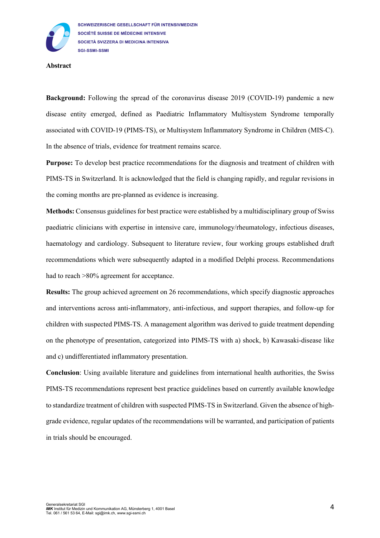

#### **Abstract**

**Background:** Following the spread of the coronavirus disease 2019 (COVID-19) pandemic a new disease entity emerged, defined as Paediatric Inflammatory Multisystem Syndrome temporally associated with COVID-19 (PIMS-TS), or Multisystem Inflammatory Syndrome in Children (MIS-C). In the absence of trials, evidence for treatment remains scarce.

**Purpose:** To develop best practice recommendations for the diagnosis and treatment of children with PIMS-TS in Switzerland. It is acknowledged that the field is changing rapidly, and regular revisions in the coming months are pre-planned as evidence is increasing.

**Methods:** Consensus guidelines for best practice were established by a multidisciplinary group of Swiss paediatric clinicians with expertise in intensive care, immunology/rheumatology, infectious diseases, haematology and cardiology. Subsequent to literature review, four working groups established draft recommendations which were subsequently adapted in a modified Delphi process. Recommendations had to reach  $>80\%$  agreement for acceptance.

**Results:** The group achieved agreement on 26 recommendations, which specify diagnostic approaches and interventions across anti-inflammatory, anti-infectious, and support therapies, and follow-up for children with suspected PIMS-TS. A management algorithm was derived to guide treatment depending on the phenotype of presentation, categorized into PIMS-TS with a) shock, b) Kawasaki-disease like and c) undifferentiated inflammatory presentation.

**Conclusion**: Using available literature and guidelines from international health authorities, the Swiss PIMS-TS recommendations represent best practice guidelines based on currently available knowledge to standardize treatment of children with suspected PIMS-TS in Switzerland. Given the absence of highgrade evidence, regular updates of the recommendations will be warranted, and participation of patients in trials should be encouraged.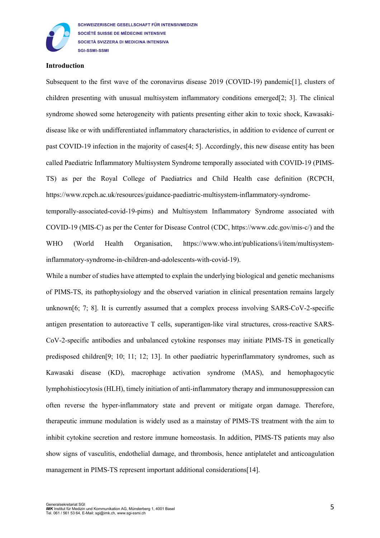

SCHWEIZERISCHE GESELLSCHAFT FÜR INTENSIVMEDIZIN SOCIÉTÉ SUISSE DE MÉDECINE INTENSIVE SOCIETÀ SVIZZERA DI MEDICINA INTENSIVA **SGI-SSMI-SSMI** 

#### **Introduction**

Subsequent to the first wave of the coronavirus disease 2019 (COVID-19) pandemic<sup>[1]</sup>, clusters of children presenting with unusual multisystem inflammatory conditions emerged[2; 3]. The clinical syndrome showed some heterogeneity with patients presenting either akin to toxic shock, Kawasakidisease like or with undifferentiated inflammatory characteristics, in addition to evidence of current or past COVID-19 infection in the majority of cases[4; 5]. Accordingly, this new disease entity has been called Paediatric Inflammatory Multisystem Syndrome temporally associated with COVID-19 (PIMS-TS) as per the Royal College of Paediatrics and Child Health case definition (RCPCH, https://www.rcpch.ac.uk/resources/guidance-paediatric-multisystem-inflammatory-syndrome-

temporally-associated-covid-19-pims) and Multisystem Inflammatory Syndrome associated with COVID-19 (MIS-C) as per the Center for Disease Control (CDC, https://www.cdc.gov/mis-c/) and the WHO (World Health Organisation, https://www.who.int/publications/i/item/multisysteminflammatory-syndrome-in-children-and-adolescents-with-covid-19).

While a number of studies have attempted to explain the underlying biological and genetic mechanisms of PIMS-TS, its pathophysiology and the observed variation in clinical presentation remains largely unknown $[6; 7; 8]$ . It is currently assumed that a complex process involving SARS-CoV-2-specific antigen presentation to autoreactive T cells, superantigen-like viral structures, cross-reactive SARS-CoV-2-specific antibodies and unbalanced cytokine responses may initiate PIMS-TS in genetically predisposed children[9; 10; 11; 12; 13]. In other paediatric hyperinflammatory syndromes, such as Kawasaki disease (KD), macrophage activation syndrome (MAS), and hemophagocytic lymphohistiocytosis (HLH), timely initiation of anti-inflammatory therapy and immunosuppression can often reverse the hyper-inflammatory state and prevent or mitigate organ damage. Therefore, therapeutic immune modulation is widely used as a mainstay of PIMS-TS treatment with the aim to inhibit cytokine secretion and restore immune homeostasis. In addition, PIMS-TS patients may also show signs of vasculitis, endothelial damage, and thrombosis, hence antiplatelet and anticoagulation management in PIMS-TS represent important additional considerations[14].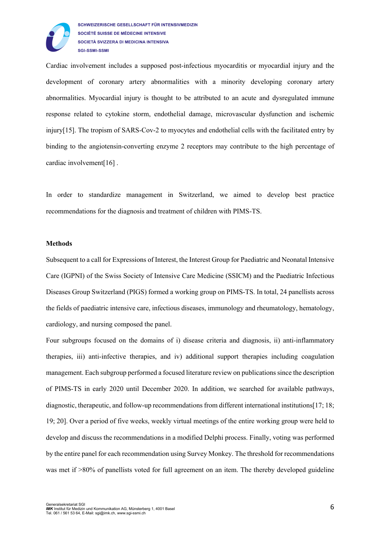

Cardiac involvement includes a supposed post-infectious myocarditis or myocardial injury and the development of coronary artery abnormalities with a minority developing coronary artery abnormalities. Myocardial injury is thought to be attributed to an acute and dysregulated immune response related to cytokine storm, endothelial damage, microvascular dysfunction and ischemic injury[15]. The tropism of SARS-Cov-2 to myocytes and endothelial cells with the facilitated entry by binding to the angiotensin-converting enzyme 2 receptors may contribute to the high percentage of cardiac involvement[16] .

In order to standardize management in Switzerland, we aimed to develop best practice recommendations for the diagnosis and treatment of children with PIMS-TS.

#### **Methods**

Subsequent to a call for Expressions of Interest, the Interest Group for Paediatric and Neonatal Intensive Care (IGPNI) of the Swiss Society of Intensive Care Medicine (SSICM) and the Paediatric Infectious Diseases Group Switzerland (PIGS) formed a working group on PIMS-TS. In total, 24 panellists across the fields of paediatric intensive care, infectious diseases, immunology and rheumatology, hematology, cardiology, and nursing composed the panel.

Four subgroups focused on the domains of i) disease criteria and diagnosis, ii) anti-inflammatory therapies, iii) anti-infective therapies, and iv) additional support therapies including coagulation management. Each subgroup performed a focused literature review on publications since the description of PIMS-TS in early 2020 until December 2020. In addition, we searched for available pathways, diagnostic, therapeutic, and follow-up recommendations from different international institutions[17; 18; 19; 20]. Over a period of five weeks, weekly virtual meetings of the entire working group were held to develop and discuss the recommendations in a modified Delphi process. Finally, voting was performed by the entire panel for each recommendation using Survey Monkey. The threshold for recommendations was met if  $>80\%$  of panellists voted for full agreement on an item. The thereby developed guideline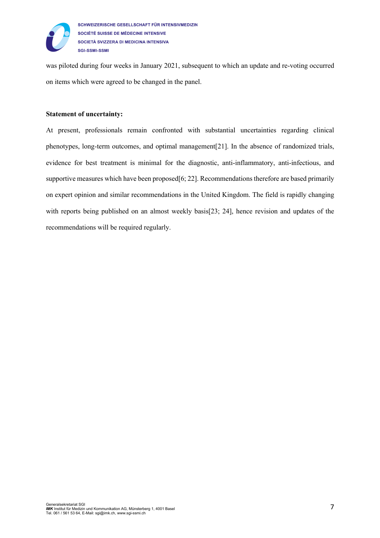

was piloted during four weeks in January 2021, subsequent to which an update and re-voting occurred on items which were agreed to be changed in the panel.

#### **Statement of uncertainty:**

At present, professionals remain confronted with substantial uncertainties regarding clinical phenotypes, long-term outcomes, and optimal management[21]. In the absence of randomized trials, evidence for best treatment is minimal for the diagnostic, anti-inflammatory, anti-infectious, and supportive measures which have been proposed  $[6; 22]$ . Recommendations therefore are based primarily on expert opinion and similar recommendations in the United Kingdom. The field is rapidly changing with reports being published on an almost weekly basis[23; 24], hence revision and updates of the recommendations will be required regularly.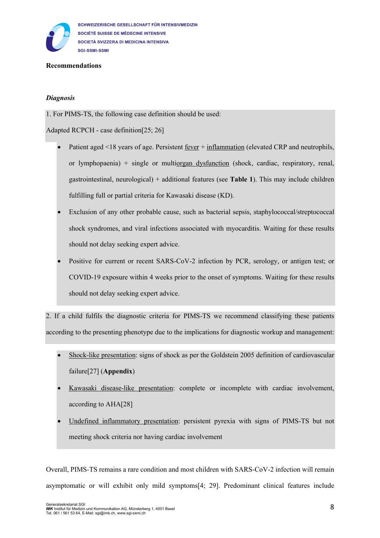

#### **Recommendations**

### *Diagnosis*

1. For PIMS-TS, the following case definition should be used:

Adapted RCPCH - case definition[25; 26]

- Patient aged <18 years of age. Persistent fever + inflammation (elevated CRP and neutrophils, or lymphopaenia) + single or multiorgan dysfunction (shock, cardiac, respiratory, renal, gastrointestinal, neurological) + additional features (see **Table 1**). This may include children fulfilling full or partial criteria for Kawasaki disease (KD).
- Exclusion of any other probable cause, such as bacterial sepsis, staphylococcal/streptococcal shock syndromes, and viral infections associated with myocarditis. Waiting for these results should not delay seeking expert advice.
- Positive for current or recent SARS-CoV-2 infection by PCR, serology, or antigen test; or COVID-19 exposure within 4 weeks prior to the onset of symptoms. Waiting for these results should not delay seeking expert advice.

2. If a child fulfils the diagnostic criteria for PIMS-TS we recommend classifying these patients according to the presenting phenotype due to the implications for diagnostic workup and management:

- Shock-like presentation: signs of shock as per the Goldstein 2005 definition of cardiovascular failure[27] (**Appendix**)
- Kawasaki disease-like presentation: complete or incomplete with cardiac involvement, according to AHA[28]
- Undefined inflammatory presentation: persistent pyrexia with signs of PIMS-TS but not meeting shock criteria nor having cardiac involvement

Overall, PIMS-TS remains a rare condition and most children with SARS-CoV-2 infection will remain asymptomatic or will exhibit only mild symptoms[4; 29]. Predominant clinical features include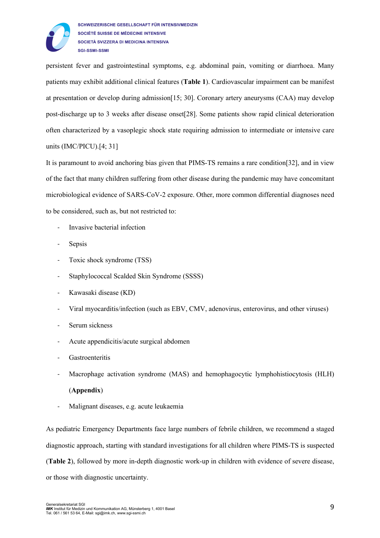

persistent fever and gastrointestinal symptoms, e.g. abdominal pain, vomiting or diarrhoea. Many patients may exhibit additional clinical features (**Table 1**). Cardiovascular impairment can be manifest at presentation or develop during admission[15; 30]. Coronary artery aneurysms (CAA) may develop post-discharge up to 3 weeks after disease onset[28]. Some patients show rapid clinical deterioration often characterized by a vasoplegic shock state requiring admission to intermediate or intensive care units (IMC/PICU).[4; 31]

It is paramount to avoid anchoring bias given that PIMS-TS remains a rare condition[32], and in view of the fact that many children suffering from other disease during the pandemic may have concomitant microbiological evidence of SARS-CoV-2 exposure. Other, more common differential diagnoses need to be considered, such as, but not restricted to:

- Invasive bacterial infection
- **Sepsis**
- Toxic shock syndrome (TSS)
- Staphylococcal Scalded Skin Syndrome (SSSS)
- Kawasaki disease (KD)
- Viral myocarditis/infection (such as EBV, CMV, adenovirus, enterovirus, and other viruses)
- Serum sickness
- Acute appendicitis/acute surgical abdomen
- **Gastroenteritis**
- Macrophage activation syndrome (MAS) and hemophagocytic lymphohistiocytosis (HLH)

## (**Appendix**)

- Malignant diseases, e.g. acute leukaemia

As pediatric Emergency Departments face large numbers of febrile children, we recommend a staged diagnostic approach, starting with standard investigations for all children where PIMS-TS is suspected (**Table 2**), followed by more in-depth diagnostic work-up in children with evidence of severe disease, or those with diagnostic uncertainty.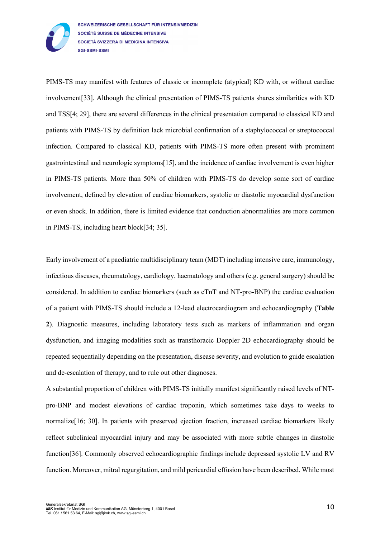

PIMS-TS may manifest with features of classic or incomplete (atypical) KD with, or without cardiac involvement[33]. Although the clinical presentation of PIMS-TS patients shares similarities with KD and TSS[4; 29], there are several differences in the clinical presentation compared to classical KD and patients with PIMS-TS by definition lack microbial confirmation of a staphylococcal or streptococcal infection. Compared to classical KD, patients with PIMS-TS more often present with prominent gastrointestinal and neurologic symptoms[15], and the incidence of cardiac involvement is even higher in PIMS-TS patients. More than 50% of children with PIMS-TS do develop some sort of cardiac involvement, defined by elevation of cardiac biomarkers, systolic or diastolic myocardial dysfunction or even shock. In addition, there is limited evidence that conduction abnormalities are more common in PIMS-TS, including heart block[34; 35].

Early involvement of a paediatric multidisciplinary team (MDT) including intensive care, immunology, infectious diseases, rheumatology, cardiology, haematology and others (e.g. general surgery) should be considered. In addition to cardiac biomarkers (such as cTnT and NT-pro-BNP) the cardiac evaluation of a patient with PIMS-TS should include a 12-lead electrocardiogram and echocardiography (**Table 2**). Diagnostic measures, including laboratory tests such as markers of inflammation and organ dysfunction, and imaging modalities such as transthoracic Doppler 2D echocardiography should be repeated sequentially depending on the presentation, disease severity, and evolution to guide escalation and de-escalation of therapy, and to rule out other diagnoses.

A substantial proportion of children with PIMS-TS initially manifest significantly raised levels of NTpro-BNP and modest elevations of cardiac troponin, which sometimes take days to weeks to normalize[16; 30]. In patients with preserved ejection fraction, increased cardiac biomarkers likely reflect subclinical myocardial injury and may be associated with more subtle changes in diastolic function[36]. Commonly observed echocardiographic findings include depressed systolic LV and RV function. Moreover, mitral regurgitation, and mild pericardial effusion have been described. While most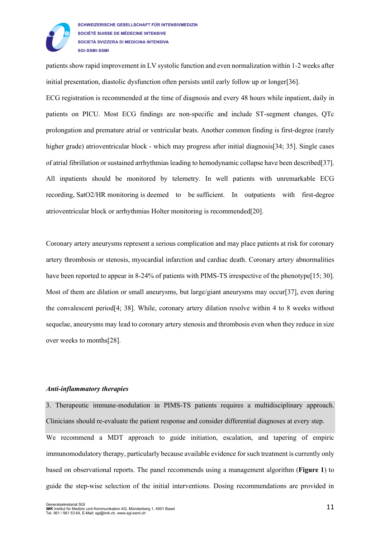

patients show rapid improvement in LV systolic function and even normalization within 1-2 weeks after initial presentation, diastolic dysfunction often persists until early follow up or longer[36].

ECG registration is recommended at the time of diagnosis and every 48 hours while inpatient, daily in patients on PICU. Most ECG findings are non-specific and include ST-segment changes, QTc prolongation and premature atrial or ventricular beats. Another common finding is first-degree (rarely higher grade) atrioventricular block - which may progress after initial diagnosis[34; 35]. Single cases of atrial fibrillation or sustained arrhythmias leading to hemodynamic collapse have been described[37]. All inpatients should be monitored by telemetry. In well patients with unremarkable ECG recording, SatO2/HR monitoring is deemed to be sufficient. In outpatients with first-degree atrioventricular block or arrhythmias Holter monitoring is recommended[20].

Coronary artery aneurysms represent a serious complication and may place patients at risk for coronary artery thrombosis or stenosis, myocardial infarction and cardiac death. Coronary artery abnormalities have been reported to appear in 8-24% of patients with PIMS-TS irrespective of the phenotype[15; 30]. Most of them are dilation or small aneurysms, but large/giant aneurysms may occur<sup>[37]</sup>, even during the convalescent period[4; 38]. While, coronary artery dilation resolve within 4 to 8 weeks without sequelae, aneurysms may lead to coronary artery stenosis and thrombosis even when they reduce in size over weeks to months[28].

#### *Anti-inflammatory therapies*

3. Therapeutic immune-modulation in PIMS-TS patients requires a multidisciplinary approach. Clinicians should re-evaluate the patient response and consider differential diagnoses at every step.

We recommend a MDT approach to guide initiation, escalation, and tapering of empiric immunomodulatory therapy, particularly because available evidence for such treatment is currently only based on observational reports. The panel recommends using a management algorithm (**Figure 1**) to guide the step-wise selection of the initial interventions. Dosing recommendations are provided in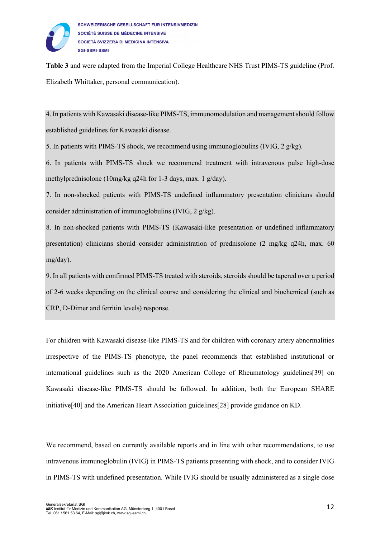

**Table 3** and were adapted from the Imperial College Healthcare NHS Trust PIMS-TS guideline (Prof. Elizabeth Whittaker, personal communication).

4. In patients with Kawasaki disease-like PIMS-TS, immunomodulation and management should follow established guidelines for Kawasaki disease.

5. In patients with PIMS-TS shock, we recommend using immunoglobulins (IVIG, 2 g/kg).

6. In patients with PIMS-TS shock we recommend treatment with intravenous pulse high-dose methylprednisolone (10mg/kg q24h for 1-3 days, max. 1 g/day).

7. In non-shocked patients with PIMS-TS undefined inflammatory presentation clinicians should consider administration of immunoglobulins (IVIG, 2 g/kg).

8. In non-shocked patients with PIMS-TS (Kawasaki-like presentation or undefined inflammatory presentation) clinicians should consider administration of prednisolone (2 mg/kg q24h, max. 60 mg/day).

9. In all patients with confirmed PIMS-TS treated with steroids, steroids should be tapered over a period of 2-6 weeks depending on the clinical course and considering the clinical and biochemical (such as CRP, D-Dimer and ferritin levels) response.

For children with Kawasaki disease-like PIMS-TS and for children with coronary artery abnormalities irrespective of the PIMS-TS phenotype, the panel recommends that established institutional or international guidelines such as the 2020 American College of Rheumatology guidelines[39] on Kawasaki disease-like PIMS-TS should be followed. In addition, both the European SHARE initiative[40] and the American Heart Association guidelines[28] provide guidance on KD.

We recommend, based on currently available reports and in line with other recommendations, to use intravenous immunoglobulin (IVIG) in PIMS-TS patients presenting with shock, and to consider IVIG in PIMS-TS with undefined presentation. While IVIG should be usually administered as a single dose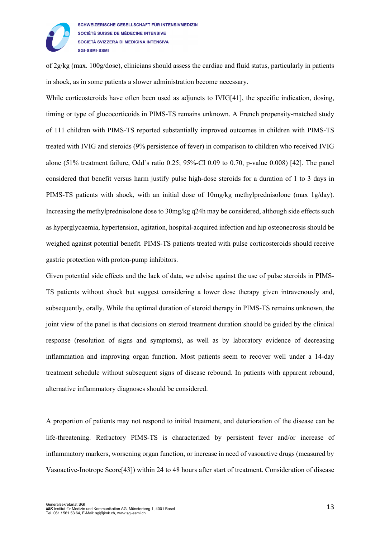

of 2g/kg (max. 100g/dose), clinicians should assess the cardiac and fluid status, particularly in patients in shock, as in some patients a slower administration become necessary.

While corticosteroids have often been used as adjuncts to IVIG[41], the specific indication, dosing, timing or type of glucocorticoids in PIMS-TS remains unknown. A French propensity-matched study of 111 children with PIMS-TS reported substantially improved outcomes in children with PIMS-TS treated with IVIG and steroids (9% persistence of fever) in comparison to children who received IVIG alone (51% treatment failure, Odd`s ratio 0.25; 95%-CI 0.09 to 0.70, p-value 0.008) [42]. The panel considered that benefit versus harm justify pulse high-dose steroids for a duration of 1 to 3 days in PIMS-TS patients with shock, with an initial dose of 10mg/kg methylprednisolone (max 1g/day). Increasing the methylprednisolone dose to 30mg/kg q24h may be considered, although side effects such as hyperglycaemia, hypertension, agitation, hospital-acquired infection and hip osteonecrosis should be weighed against potential benefit. PIMS-TS patients treated with pulse corticosteroids should receive gastric protection with proton-pump inhibitors.

Given potential side effects and the lack of data, we advise against the use of pulse steroids in PIMS-TS patients without shock but suggest considering a lower dose therapy given intravenously and, subsequently, orally. While the optimal duration of steroid therapy in PIMS-TS remains unknown, the joint view of the panel is that decisions on steroid treatment duration should be guided by the clinical response (resolution of signs and symptoms), as well as by laboratory evidence of decreasing inflammation and improving organ function. Most patients seem to recover well under a 14-day treatment schedule without subsequent signs of disease rebound. In patients with apparent rebound, alternative inflammatory diagnoses should be considered.

A proportion of patients may not respond to initial treatment, and deterioration of the disease can be life-threatening. Refractory PIMS-TS is characterized by persistent fever and/or increase of inflammatory markers, worsening organ function, or increase in need of vasoactive drugs (measured by Vasoactive-Inotrope Score[43]) within 24 to 48 hours after start of treatment. Consideration of disease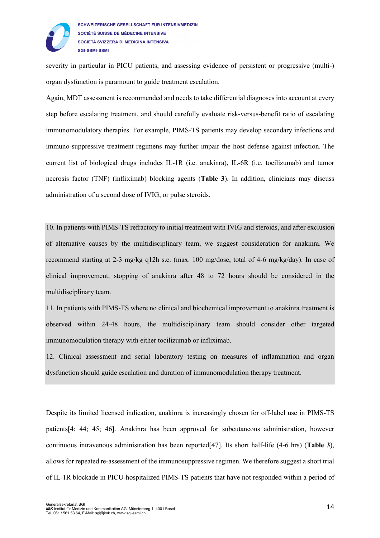

severity in particular in PICU patients, and assessing evidence of persistent or progressive (multi-) organ dysfunction is paramount to guide treatment escalation.

Again, MDT assessment is recommended and needs to take differential diagnoses into account at every step before escalating treatment, and should carefully evaluate risk-versus-benefit ratio of escalating immunomodulatory therapies. For example, PIMS-TS patients may develop secondary infections and immuno-suppressive treatment regimens may further impair the host defense against infection. The current list of biological drugs includes IL-1R (i.e. anakinra), IL-6R (i.e. tocilizumab) and tumor necrosis factor (TNF) (infliximab) blocking agents (**Table 3**). In addition, clinicians may discuss administration of a second dose of IVIG, or pulse steroids.

10. In patients with PIMS-TS refractory to initial treatment with IVIG and steroids, and after exclusion of alternative causes by the multidisciplinary team, we suggest consideration for anakinra. We recommend starting at 2-3 mg/kg q12h s.c. (max. 100 mg/dose, total of 4-6 mg/kg/day). In case of clinical improvement, stopping of anakinra after 48 to 72 hours should be considered in the multidisciplinary team.

11. In patients with PIMS-TS where no clinical and biochemical improvement to anakinra treatment is observed within 24-48 hours, the multidisciplinary team should consider other targeted immunomodulation therapy with either tocilizumab or infliximab.

12. Clinical assessment and serial laboratory testing on measures of inflammation and organ dysfunction should guide escalation and duration of immunomodulation therapy treatment.

Despite its limited licensed indication, anakinra is increasingly chosen for off-label use in PIMS-TS patients[4; 44; 45; 46]. Anakinra has been approved for subcutaneous administration, however continuous intravenous administration has been reported[47]. Its short half-life (4-6 hrs) (**Table 3**), allows for repeated re-assessment of the immunosuppressive regimen. We therefore suggest a short trial of IL-1R blockade in PICU-hospitalized PIMS-TS patients that have not responded within a period of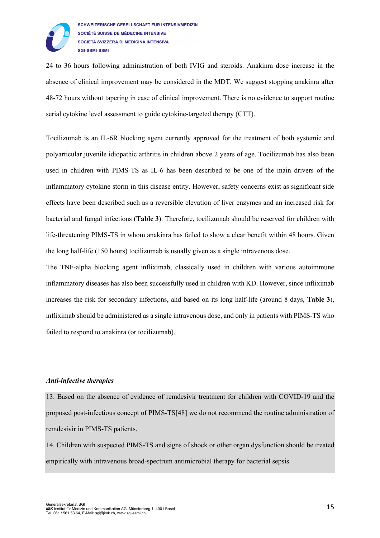

24 to 36 hours following administration of both IVIG and steroids. Anakinra dose increase in the absence of clinical improvement may be considered in the MDT. We suggest stopping anakinra after 48-72 hours without tapering in case of clinical improvement. There is no evidence to support routine serial cytokine level assessment to guide cytokine-targeted therapy (CTT).

Tocilizumab is an IL-6R blocking agent currently approved for the treatment of both systemic and polyarticular juvenile idiopathic arthritis in children above 2 years of age. Tocilizumab has also been used in children with PIMS-TS as IL-6 has been described to be one of the main drivers of the inflammatory cytokine storm in this disease entity. However, safety concerns exist as significant side effects have been described such as a reversible elevation of liver enzymes and an increased risk for bacterial and fungal infections (**Table 3**). Therefore, tocilizumab should be reserved for children with life-threatening PIMS-TS in whom anakinra has failed to show a clear benefit within 48 hours. Given the long half-life (150 hours) tocilizumab is usually given as a single intravenous dose.

The TNF-alpha blocking agent infliximab, classically used in children with various autoimmune inflammatory diseases has also been successfully used in children with KD. However, since infliximab increases the risk for secondary infections, and based on its long half-life (around 8 days, **Table 3**), infliximab should be administered as a single intravenous dose, and only in patients with PIMS-TS who failed to respond to anakinra (or tocilizumab).

#### *Anti-infective therapies*

13. Based on the absence of evidence of remdesivir treatment for children with COVID-19 and the proposed post-infectious concept of PIMS-TS[48] we do not recommend the routine administration of remdesivir in PIMS-TS patients.

14. Children with suspected PIMS-TS and signs of shock or other organ dysfunction should be treated empirically with intravenous broad-spectrum antimicrobial therapy for bacterial sepsis.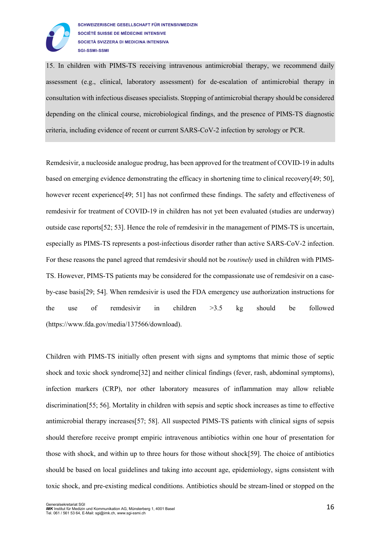

15. In children with PIMS-TS receiving intravenous antimicrobial therapy, we recommend daily assessment (e.g., clinical, laboratory assessment) for de-escalation of antimicrobial therapy in consultation with infectious diseases specialists. Stopping of antimicrobial therapy should be considered depending on the clinical course, microbiological findings, and the presence of PIMS-TS diagnostic criteria, including evidence of recent or current SARS-CoV-2 infection by serology or PCR.

Remdesivir, a nucleoside analogue prodrug, has been approved for the treatment of COVID-19 in adults based on emerging evidence demonstrating the efficacy in shortening time to clinical recovery[49; 50], however recent experience<sup>[49</sup>; 51] has not confirmed these findings. The safety and effectiveness of remdesivir for treatment of COVID-19 in children has not yet been evaluated (studies are underway) outside case reports[52; 53]. Hence the role of remdesivir in the management of PIMS-TS is uncertain, especially as PIMS-TS represents a post-infectious disorder rather than active SARS-CoV-2 infection. For these reasons the panel agreed that remdesivir should not be *routinely* used in children with PIMS-TS. However, PIMS-TS patients may be considered for the compassionate use of remdesivir on a caseby-case basis[29; 54]. When remdesivir is used the FDA emergency use authorization instructions for the use of remdesivir in children >3.5 kg should be followed (https://www.fda.gov/media/137566/download).

Children with PIMS-TS initially often present with signs and symptoms that mimic those of septic shock and toxic shock syndrome[32] and neither clinical findings (fever, rash, abdominal symptoms), infection markers (CRP), nor other laboratory measures of inflammation may allow reliable discrimination[55; 56]. Mortality in children with sepsis and septic shock increases as time to effective antimicrobial therapy increases[57; 58]. All suspected PIMS-TS patients with clinical signs of sepsis should therefore receive prompt empiric intravenous antibiotics within one hour of presentation for those with shock, and within up to three hours for those without shock[59]. The choice of antibiotics should be based on local guidelines and taking into account age, epidemiology, signs consistent with toxic shock, and pre-existing medical conditions. Antibiotics should be stream-lined or stopped on the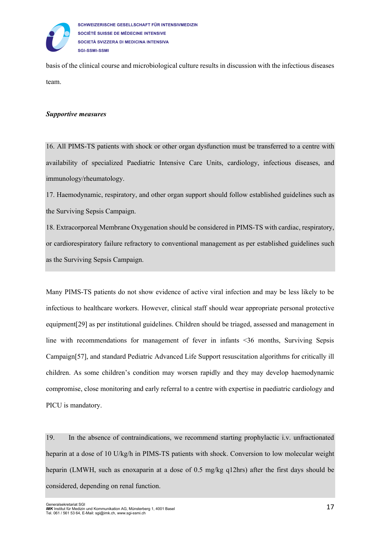

SCHWEIZERISCHE GESELLSCHAFT FÜR INTENSIVMEDIZIN SOCIÉTÉ SUISSE DE MÉDECINE INTENSIVE SOCIETÀ SVIZZERA DI MEDICINA INTENSIVA **SGI-SSMI-SSMI** 

basis of the clinical course and microbiological culture results in discussion with the infectious diseases team.

#### *Supportive measures*

16. All PIMS-TS patients with shock or other organ dysfunction must be transferred to a centre with availability of specialized Paediatric Intensive Care Units, cardiology, infectious diseases, and immunology/rheumatology.

17. Haemodynamic, respiratory, and other organ support should follow established guidelines such as the Surviving Sepsis Campaign.

18. Extracorporeal Membrane Oxygenation should be considered in PIMS-TS with cardiac, respiratory, or cardiorespiratory failure refractory to conventional management as per established guidelines such as the Surviving Sepsis Campaign.

Many PIMS-TS patients do not show evidence of active viral infection and may be less likely to be infectious to healthcare workers. However, clinical staff should wear appropriate personal protective equipment[29] as per institutional guidelines. Children should be triaged, assessed and management in line with recommendations for management of fever in infants <36 months, Surviving Sepsis Campaign[57], and standard Pediatric Advanced Life Support resuscitation algorithms for critically ill children. As some children's condition may worsen rapidly and they may develop haemodynamic compromise, close monitoring and early referral to a centre with expertise in paediatric cardiology and PICU is mandatory.

19. In the absence of contraindications, we recommend starting prophylactic i.v. unfractionated heparin at a dose of 10 U/kg/h in PIMS-TS patients with shock. Conversion to low molecular weight heparin (LMWH, such as enoxaparin at a dose of 0.5 mg/kg q12hrs) after the first days should be considered, depending on renal function.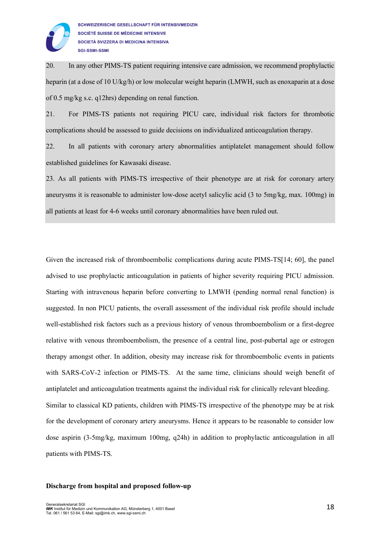

20. In any other PIMS-TS patient requiring intensive care admission, we recommend prophylactic heparin (at a dose of 10 U/kg/h) or low molecular weight heparin (LMWH, such as enoxaparin at a dose of 0.5 mg/kg s.c. q12hrs) depending on renal function.

21. For PIMS-TS patients not requiring PICU care, individual risk factors for thrombotic complications should be assessed to guide decisions on individualized anticoagulation therapy.

22. In all patients with coronary artery abnormalities antiplatelet management should follow established guidelines for Kawasaki disease.

23. As all patients with PIMS-TS irrespective of their phenotype are at risk for coronary artery aneurysms it is reasonable to administer low-dose acetyl salicylic acid (3 to 5mg/kg, max. 100mg) in all patients at least for 4-6 weeks until coronary abnormalities have been ruled out.

Given the increased risk of thromboembolic complications during acute PIMS-TS[14; 60], the panel advised to use prophylactic anticoagulation in patients of higher severity requiring PICU admission. Starting with intravenous heparin before converting to LMWH (pending normal renal function) is suggested. In non PICU patients, the overall assessment of the individual risk profile should include well-established risk factors such as a previous history of venous thromboembolism or a first-degree relative with venous thromboembolism, the presence of a central line, post-pubertal age or estrogen therapy amongst other. In addition, obesity may increase risk for thromboembolic events in patients with SARS-CoV-2 infection or PIMS-TS. At the same time, clinicians should weigh benefit of antiplatelet and anticoagulation treatments against the individual risk for clinically relevant bleeding. Similar to classical KD patients, children with PIMS-TS irrespective of the phenotype may be at risk for the development of coronary artery aneurysms. Hence it appears to be reasonable to consider low dose aspirin (3-5mg/kg, maximum 100mg, q24h) in addition to prophylactic anticoagulation in all patients with PIMS-TS.

#### **Discharge from hospital and proposed follow-up**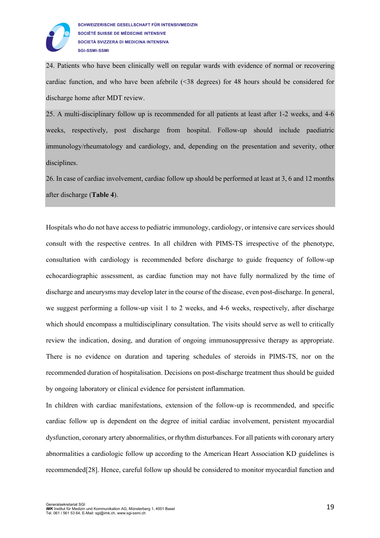

24. Patients who have been clinically well on regular wards with evidence of normal or recovering cardiac function, and who have been afebrile (<38 degrees) for 48 hours should be considered for discharge home after MDT review.

25. A multi-disciplinary follow up is recommended for all patients at least after 1-2 weeks, and 4-6 weeks, respectively, post discharge from hospital. Follow-up should include paediatric immunology/rheumatology and cardiology, and, depending on the presentation and severity, other disciplines.

26. In case of cardiac involvement, cardiac follow up should be performed at least at 3, 6 and 12 months after discharge (**Table 4**).

Hospitals who do not have access to pediatric immunology, cardiology, or intensive care services should consult with the respective centres. In all children with PIMS-TS irrespective of the phenotype, consultation with cardiology is recommended before discharge to guide frequency of follow-up echocardiographic assessment, as cardiac function may not have fully normalized by the time of discharge and aneurysms may develop later in the course of the disease, even post-discharge. In general, we suggest performing a follow-up visit 1 to 2 weeks, and 4-6 weeks, respectively, after discharge which should encompass a multidisciplinary consultation. The visits should serve as well to critically review the indication, dosing, and duration of ongoing immunosuppressive therapy as appropriate. There is no evidence on duration and tapering schedules of steroids in PIMS-TS, nor on the recommended duration of hospitalisation. Decisions on post-discharge treatment thus should be guided by ongoing laboratory or clinical evidence for persistent inflammation.

In children with cardiac manifestations, extension of the follow-up is recommended, and specific cardiac follow up is dependent on the degree of initial cardiac involvement, persistent myocardial dysfunction, coronary artery abnormalities, or rhythm disturbances. For all patients with coronary artery abnormalities a cardiologic follow up according to the American Heart Association KD guidelines is recommended[28]. Hence, careful follow up should be considered to monitor myocardial function and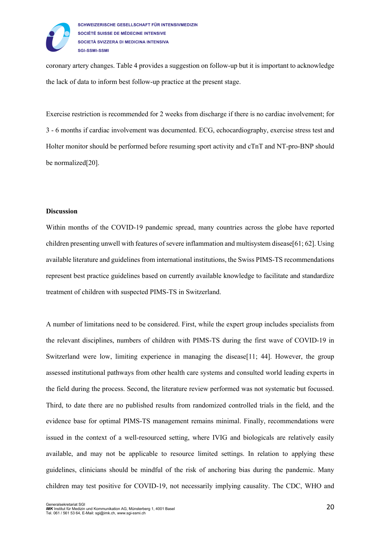

coronary artery changes. Table 4 provides a suggestion on follow-up but it is important to acknowledge the lack of data to inform best follow-up practice at the present stage.

Exercise restriction is recommended for 2 weeks from discharge if there is no cardiac involvement; for 3 - 6 months if cardiac involvement was documented. ECG, echocardiography, exercise stress test and Holter monitor should be performed before resuming sport activity and cTnT and NT-pro-BNP should be normalized[20].

#### **Discussion**

Within months of the COVID-19 pandemic spread, many countries across the globe have reported children presenting unwell with features of severe inflammation and multisystem disease[61; 62]. Using available literature and guidelines from international institutions, the Swiss PIMS-TS recommendations represent best practice guidelines based on currently available knowledge to facilitate and standardize treatment of children with suspected PIMS-TS in Switzerland.

A number of limitations need to be considered. First, while the expert group includes specialists from the relevant disciplines, numbers of children with PIMS-TS during the first wave of COVID-19 in Switzerland were low, limiting experience in managing the disease [11; 44]. However, the group assessed institutional pathways from other health care systems and consulted world leading experts in the field during the process. Second, the literature review performed was not systematic but focussed. Third, to date there are no published results from randomized controlled trials in the field, and the evidence base for optimal PIMS-TS management remains minimal. Finally, recommendations were issued in the context of a well-resourced setting, where IVIG and biologicals are relatively easily available, and may not be applicable to resource limited settings. In relation to applying these guidelines, clinicians should be mindful of the risk of anchoring bias during the pandemic. Many children may test positive for COVID-19, not necessarily implying causality. The CDC, WHO and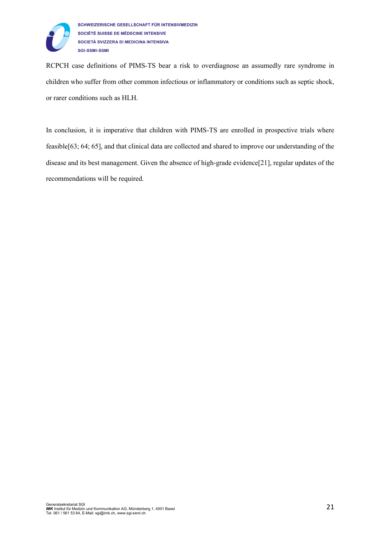

RCPCH case definitions of PIMS-TS bear a risk to overdiagnose an assumedly rare syndrome in children who suffer from other common infectious or inflammatory or conditions such as septic shock, or rarer conditions such as HLH.

In conclusion, it is imperative that children with PIMS-TS are enrolled in prospective trials where feasible[63; 64; 65], and that clinical data are collected and shared to improve our understanding of the disease and its best management. Given the absence of high-grade evidence[21], regular updates of the recommendations will be required.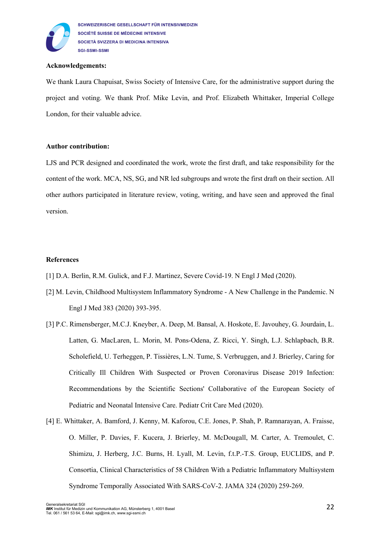

## **Acknowledgements:**

We thank Laura Chapuisat, Swiss Society of Intensive Care, for the administrative support during the project and voting. We thank Prof. Mike Levin, and Prof. Elizabeth Whittaker, Imperial College London, for their valuable advice.

#### **Author contribution:**

LJS and PCR designed and coordinated the work, wrote the first draft, and take responsibility for the content of the work. MCA, NS, SG, and NR led subgroups and wrote the first draft on their section. All other authors participated in literature review, voting, writing, and have seen and approved the final version.

## **References**

- [1] D.A. Berlin, R.M. Gulick, and F.J. Martinez, Severe Covid-19. N Engl J Med (2020).
- [2] M. Levin, Childhood Multisystem Inflammatory Syndrome A New Challenge in the Pandemic. N Engl J Med 383 (2020) 393-395.
- [3] P.C. Rimensberger, M.C.J. Kneyber, A. Deep, M. Bansal, A. Hoskote, E. Javouhey, G. Jourdain, L. Latten, G. MacLaren, L. Morin, M. Pons-Odena, Z. Ricci, Y. Singh, L.J. Schlapbach, B.R. Scholefield, U. Terheggen, P. Tissières, L.N. Tume, S. Verbruggen, and J. Brierley, Caring for Critically Ill Children With Suspected or Proven Coronavirus Disease 2019 Infection: Recommendations by the Scientific Sections' Collaborative of the European Society of Pediatric and Neonatal Intensive Care. Pediatr Crit Care Med (2020).
- [4] E. Whittaker, A. Bamford, J. Kenny, M. Kaforou, C.E. Jones, P. Shah, P. Ramnarayan, A. Fraisse, O. Miller, P. Davies, F. Kucera, J. Brierley, M. McDougall, M. Carter, A. Tremoulet, C. Shimizu, J. Herberg, J.C. Burns, H. Lyall, M. Levin, f.t.P.-T.S. Group, EUCLIDS, and P. Consortia, Clinical Characteristics of 58 Children With a Pediatric Inflammatory Multisystem Syndrome Temporally Associated With SARS-CoV-2. JAMA 324 (2020) 259-269.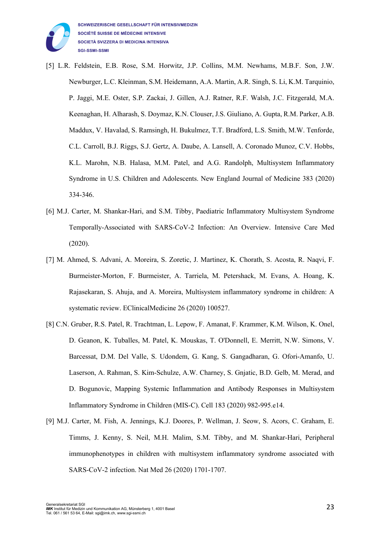

- [5] L.R. Feldstein, E.B. Rose, S.M. Horwitz, J.P. Collins, M.M. Newhams, M.B.F. Son, J.W. Newburger, L.C. Kleinman, S.M. Heidemann, A.A. Martin, A.R. Singh, S. Li, K.M. Tarquinio, P. Jaggi, M.E. Oster, S.P. Zackai, J. Gillen, A.J. Ratner, R.F. Walsh, J.C. Fitzgerald, M.A. Keenaghan, H. Alharash, S. Doymaz, K.N. Clouser, J.S. Giuliano, A. Gupta, R.M. Parker, A.B. Maddux, V. Havalad, S. Ramsingh, H. Bukulmez, T.T. Bradford, L.S. Smith, M.W. Tenforde, C.L. Carroll, B.J. Riggs, S.J. Gertz, A. Daube, A. Lansell, A. Coronado Munoz, C.V. Hobbs, K.L. Marohn, N.B. Halasa, M.M. Patel, and A.G. Randolph, Multisystem Inflammatory Syndrome in U.S. Children and Adolescents. New England Journal of Medicine 383 (2020) 334-346.
- [6] M.J. Carter, M. Shankar-Hari, and S.M. Tibby, Paediatric Inflammatory Multisystem Syndrome Temporally-Associated with SARS-CoV-2 Infection: An Overview. Intensive Care Med (2020).
- [7] M. Ahmed, S. Advani, A. Moreira, S. Zoretic, J. Martinez, K. Chorath, S. Acosta, R. Naqvi, F. Burmeister-Morton, F. Burmeister, A. Tarriela, M. Petershack, M. Evans, A. Hoang, K. Rajasekaran, S. Ahuja, and A. Moreira, Multisystem inflammatory syndrome in children: A systematic review. EClinicalMedicine 26 (2020) 100527.
- [8] C.N. Gruber, R.S. Patel, R. Trachtman, L. Lepow, F. Amanat, F. Krammer, K.M. Wilson, K. Onel, D. Geanon, K. Tuballes, M. Patel, K. Mouskas, T. O'Donnell, E. Merritt, N.W. Simons, V. Barcessat, D.M. Del Valle, S. Udondem, G. Kang, S. Gangadharan, G. Ofori-Amanfo, U. Laserson, A. Rahman, S. Kim-Schulze, A.W. Charney, S. Gnjatic, B.D. Gelb, M. Merad, and D. Bogunovic, Mapping Systemic Inflammation and Antibody Responses in Multisystem Inflammatory Syndrome in Children (MIS-C). Cell 183 (2020) 982-995.e14.
- [9] M.J. Carter, M. Fish, A. Jennings, K.J. Doores, P. Wellman, J. Seow, S. Acors, C. Graham, E. Timms, J. Kenny, S. Neil, M.H. Malim, S.M. Tibby, and M. Shankar-Hari, Peripheral immunophenotypes in children with multisystem inflammatory syndrome associated with SARS-CoV-2 infection. Nat Med 26 (2020) 1701-1707.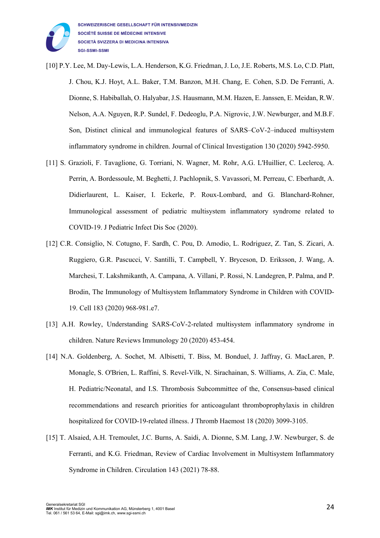

- [10] P.Y. Lee, M. Day-Lewis, L.A. Henderson, K.G. Friedman, J. Lo, J.E. Roberts, M.S. Lo, C.D. Platt, J. Chou, K.J. Hoyt, A.L. Baker, T.M. Banzon, M.H. Chang, E. Cohen, S.D. De Ferranti, A. Dionne, S. Habiballah, O. Halyabar, J.S. Hausmann, M.M. Hazen, E. Janssen, E. Meidan, R.W. Nelson, A.A. Nguyen, R.P. Sundel, F. Dedeoglu, P.A. Nigrovic, J.W. Newburger, and M.B.F. Son, Distinct clinical and immunological features of SARS–CoV-2–induced multisystem inflammatory syndrome in children. Journal of Clinical Investigation 130 (2020) 5942-5950.
- [11] S. Grazioli, F. Tavaglione, G. Torriani, N. Wagner, M. Rohr, A.G. L'Huillier, C. Leclercq, A. Perrin, A. Bordessoule, M. Beghetti, J. Pachlopnik, S. Vavassori, M. Perreau, C. Eberhardt, A. Didierlaurent, L. Kaiser, I. Eckerle, P. Roux-Lombard, and G. Blanchard-Rohner, Immunological assessment of pediatric multisystem inflammatory syndrome related to COVID-19. J Pediatric Infect Dis Soc (2020).
- [12] C.R. Consiglio, N. Cotugno, F. Sardh, C. Pou, D. Amodio, L. Rodriguez, Z. Tan, S. Zicari, A. Ruggiero, G.R. Pascucci, V. Santilli, T. Campbell, Y. Bryceson, D. Eriksson, J. Wang, A. Marchesi, T. Lakshmikanth, A. Campana, A. Villani, P. Rossi, N. Landegren, P. Palma, and P. Brodin, The Immunology of Multisystem Inflammatory Syndrome in Children with COVID-19. Cell 183 (2020) 968-981.e7.
- [13] A.H. Rowley, Understanding SARS-CoV-2-related multisystem inflammatory syndrome in children. Nature Reviews Immunology 20 (2020) 453-454.
- [14] N.A. Goldenberg, A. Sochet, M. Albisetti, T. Biss, M. Bonduel, J. Jaffray, G. MacLaren, P. Monagle, S. O'Brien, L. Raffini, S. Revel-Vilk, N. Sirachainan, S. Williams, A. Zia, C. Male, H. Pediatric/Neonatal, and I.S. Thrombosis Subcommittee of the, Consensus-based clinical recommendations and research priorities for anticoagulant thromboprophylaxis in children hospitalized for COVID-19-related illness. J Thromb Haemost 18 (2020) 3099-3105.
- [15] T. Alsaied, A.H. Tremoulet, J.C. Burns, A. Saidi, A. Dionne, S.M. Lang, J.W. Newburger, S. de Ferranti, and K.G. Friedman, Review of Cardiac Involvement in Multisystem Inflammatory Syndrome in Children. Circulation 143 (2021) 78-88.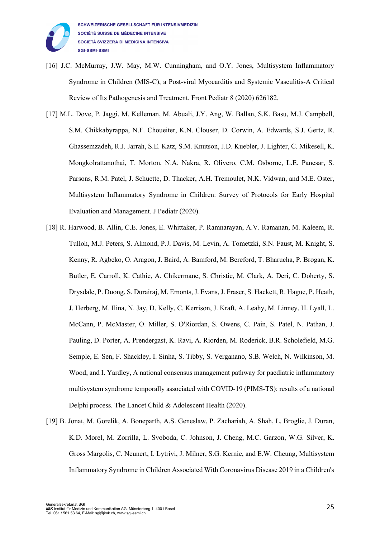

- [16] J.C. McMurray, J.W. May, M.W. Cunningham, and O.Y. Jones, Multisystem Inflammatory Syndrome in Children (MIS-C), a Post-viral Myocarditis and Systemic Vasculitis-A Critical Review of Its Pathogenesis and Treatment. Front Pediatr 8 (2020) 626182.
- [17] M.L. Dove, P. Jaggi, M. Kelleman, M. Abuali, J.Y. Ang, W. Ballan, S.K. Basu, M.J. Campbell, S.M. Chikkabyrappa, N.F. Choueiter, K.N. Clouser, D. Corwin, A. Edwards, S.J. Gertz, R. Ghassemzadeh, R.J. Jarrah, S.E. Katz, S.M. Knutson, J.D. Kuebler, J. Lighter, C. Mikesell, K. Mongkolrattanothai, T. Morton, N.A. Nakra, R. Olivero, C.M. Osborne, L.E. Panesar, S. Parsons, R.M. Patel, J. Schuette, D. Thacker, A.H. Tremoulet, N.K. Vidwan, and M.E. Oster, Multisystem Inflammatory Syndrome in Children: Survey of Protocols for Early Hospital Evaluation and Management. J Pediatr (2020).
- [18] R. Harwood, B. Allin, C.E. Jones, E. Whittaker, P. Ramnarayan, A.V. Ramanan, M. Kaleem, R. Tulloh, M.J. Peters, S. Almond, P.J. Davis, M. Levin, A. Tometzki, S.N. Faust, M. Knight, S. Kenny, R. Agbeko, O. Aragon, J. Baird, A. Bamford, M. Bereford, T. Bharucha, P. Brogan, K. Butler, E. Carroll, K. Cathie, A. Chikermane, S. Christie, M. Clark, A. Deri, C. Doherty, S. Drysdale, P. Duong, S. Durairaj, M. Emonts, J. Evans, J. Fraser, S. Hackett, R. Hague, P. Heath, J. Herberg, M. Ilina, N. Jay, D. Kelly, C. Kerrison, J. Kraft, A. Leahy, M. Linney, H. Lyall, L. McCann, P. McMaster, O. Miller, S. O'Riordan, S. Owens, C. Pain, S. Patel, N. Pathan, J. Pauling, D. Porter, A. Prendergast, K. Ravi, A. Riorden, M. Roderick, B.R. Scholefield, M.G. Semple, E. Sen, F. Shackley, I. Sinha, S. Tibby, S. Verganano, S.B. Welch, N. Wilkinson, M. Wood, and I. Yardley, A national consensus management pathway for paediatric inflammatory multisystem syndrome temporally associated with COVID-19 (PIMS-TS): results of a national Delphi process. The Lancet Child & Adolescent Health (2020).
- [19] B. Jonat, M. Gorelik, A. Boneparth, A.S. Geneslaw, P. Zachariah, A. Shah, L. Broglie, J. Duran, K.D. Morel, M. Zorrilla, L. Svoboda, C. Johnson, J. Cheng, M.C. Garzon, W.G. Silver, K. Gross Margolis, C. Neunert, I. Lytrivi, J. Milner, S.G. Kernie, and E.W. Cheung, Multisystem Inflammatory Syndrome in Children Associated With Coronavirus Disease 2019 in a Children's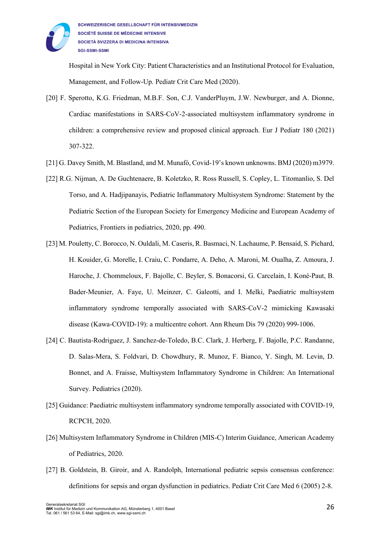

Hospital in New York City: Patient Characteristics and an Institutional Protocol for Evaluation, Management, and Follow-Up. Pediatr Crit Care Med (2020).

- [20] F. Sperotto, K.G. Friedman, M.B.F. Son, C.J. VanderPluym, J.W. Newburger, and A. Dionne, Cardiac manifestations in SARS-CoV-2-associated multisystem inflammatory syndrome in children: a comprehensive review and proposed clinical approach. Eur J Pediatr 180 (2021) 307-322.
- [21] G. Davey Smith, M. Blastland, and M. Munafò, Covid-19's known unknowns. BMJ (2020) m3979.
- [22] R.G. Nijman, A. De Guchtenaere, B. Koletzko, R. Ross Russell, S. Copley, L. Titomanlio, S. Del Torso, and A. Hadjipanayis, Pediatric Inflammatory Multisystem Syndrome: Statement by the Pediatric Section of the European Society for Emergency Medicine and European Academy of Pediatrics, Frontiers in pediatrics, 2020, pp. 490.
- [23] M. Pouletty, C. Borocco, N. Ouldali, M. Caseris, R. Basmaci, N. Lachaume, P. Bensaid, S. Pichard, H. Kouider, G. Morelle, I. Craiu, C. Pondarre, A. Deho, A. Maroni, M. Oualha, Z. Amoura, J. Haroche, J. Chommeloux, F. Bajolle, C. Beyler, S. Bonacorsi, G. Carcelain, I. Koné-Paut, B. Bader-Meunier, A. Faye, U. Meinzer, C. Galeotti, and I. Melki, Paediatric multisystem inflammatory syndrome temporally associated with SARS-CoV-2 mimicking Kawasaki disease (Kawa-COVID-19): a multicentre cohort. Ann Rheum Dis 79 (2020) 999-1006.
- [24] C. Bautista-Rodriguez, J. Sanchez-de-Toledo, B.C. Clark, J. Herberg, F. Bajolle, P.C. Randanne, D. Salas-Mera, S. Foldvari, D. Chowdhury, R. Munoz, F. Bianco, Y. Singh, M. Levin, D. Bonnet, and A. Fraisse, Multisystem Inflammatory Syndrome in Children: An International Survey. Pediatrics (2020).
- [25] Guidance: Paediatric multisystem inflammatory syndrome temporally associated with COVID-19, RCPCH, 2020.
- [26] Multisystem Inflammatory Syndrome in Children (MIS-C) Interim Guidance, American Academy of Pediatrics, 2020.
- [27] B. Goldstein, B. Giroir, and A. Randolph, International pediatric sepsis consensus conference: definitions for sepsis and organ dysfunction in pediatrics. Pediatr Crit Care Med 6 (2005) 2-8.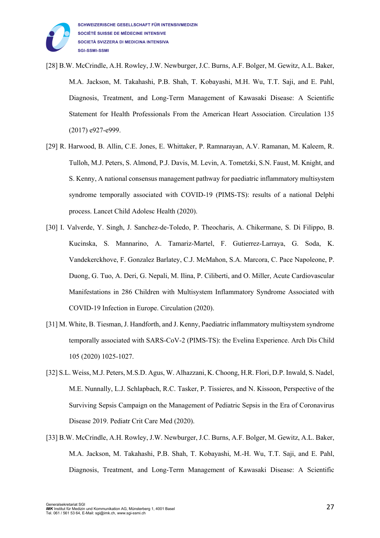

- [28] B.W. McCrindle, A.H. Rowley, J.W. Newburger, J.C. Burns, A.F. Bolger, M. Gewitz, A.L. Baker, M.A. Jackson, M. Takahashi, P.B. Shah, T. Kobayashi, M.H. Wu, T.T. Saji, and E. Pahl, Diagnosis, Treatment, and Long-Term Management of Kawasaki Disease: A Scientific Statement for Health Professionals From the American Heart Association. Circulation 135 (2017) e927-e999.
- [29] R. Harwood, B. Allin, C.E. Jones, E. Whittaker, P. Ramnarayan, A.V. Ramanan, M. Kaleem, R. Tulloh, M.J. Peters, S. Almond, P.J. Davis, M. Levin, A. Tometzki, S.N. Faust, M. Knight, and S. Kenny, A national consensus management pathway for paediatric inflammatory multisystem syndrome temporally associated with COVID-19 (PIMS-TS): results of a national Delphi process. Lancet Child Adolesc Health (2020).
- [30] I. Valverde, Y. Singh, J. Sanchez-de-Toledo, P. Theocharis, A. Chikermane, S. Di Filippo, B. Kucinska, S. Mannarino, A. Tamariz-Martel, F. Gutierrez-Larraya, G. Soda, K. Vandekerckhove, F. Gonzalez Barlatey, C.J. McMahon, S.A. Marcora, C. Pace Napoleone, P. Duong, G. Tuo, A. Deri, G. Nepali, M. Ilina, P. Ciliberti, and O. Miller, Acute Cardiovascular Manifestations in 286 Children with Multisystem Inflammatory Syndrome Associated with COVID-19 Infection in Europe. Circulation (2020).
- [31] M. White, B. Tiesman, J. Handforth, and J. Kenny, Paediatric inflammatory multisystem syndrome temporally associated with SARS-CoV-2 (PIMS-TS): the Evelina Experience. Arch Dis Child 105 (2020) 1025-1027.
- [32] S.L. Weiss, M.J. Peters, M.S.D. Agus, W. Alhazzani, K. Choong, H.R. Flori, D.P. Inwald, S. Nadel, M.E. Nunnally, L.J. Schlapbach, R.C. Tasker, P. Tissieres, and N. Kissoon, Perspective of the Surviving Sepsis Campaign on the Management of Pediatric Sepsis in the Era of Coronavirus Disease 2019. Pediatr Crit Care Med (2020).
- [33] B.W. McCrindle, A.H. Rowley, J.W. Newburger, J.C. Burns, A.F. Bolger, M. Gewitz, A.L. Baker, M.A. Jackson, M. Takahashi, P.B. Shah, T. Kobayashi, M.-H. Wu, T.T. Saji, and E. Pahl, Diagnosis, Treatment, and Long-Term Management of Kawasaki Disease: A Scientific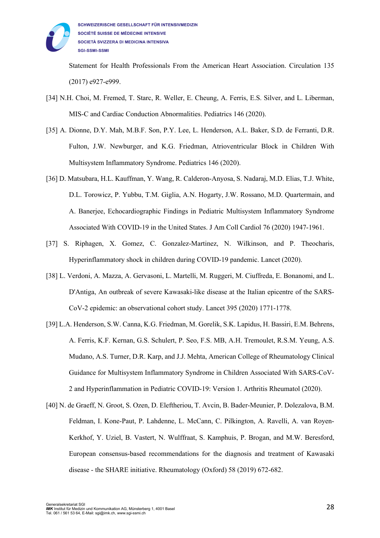

Statement for Health Professionals From the American Heart Association. Circulation 135 (2017) e927-e999.

- [34] N.H. Choi, M. Fremed, T. Starc, R. Weller, E. Cheung, A. Ferris, E.S. Silver, and L. Liberman, MIS-C and Cardiac Conduction Abnormalities. Pediatrics 146 (2020).
- [35] A. Dionne, D.Y. Mah, M.B.F. Son, P.Y. Lee, L. Henderson, A.L. Baker, S.D. de Ferranti, D.R. Fulton, J.W. Newburger, and K.G. Friedman, Atrioventricular Block in Children With Multisystem Inflammatory Syndrome. Pediatrics 146 (2020).
- [36] D. Matsubara, H.L. Kauffman, Y. Wang, R. Calderon-Anyosa, S. Nadaraj, M.D. Elias, T.J. White, D.L. Torowicz, P. Yubbu, T.M. Giglia, A.N. Hogarty, J.W. Rossano, M.D. Quartermain, and A. Banerjee, Echocardiographic Findings in Pediatric Multisystem Inflammatory Syndrome Associated With COVID-19 in the United States. J Am Coll Cardiol 76 (2020) 1947-1961.
- [37] S. Riphagen, X. Gomez, C. Gonzalez-Martinez, N. Wilkinson, and P. Theocharis, Hyperinflammatory shock in children during COVID-19 pandemic. Lancet (2020).
- [38] L. Verdoni, A. Mazza, A. Gervasoni, L. Martelli, M. Ruggeri, M. Ciuffreda, E. Bonanomi, and L. D'Antiga, An outbreak of severe Kawasaki-like disease at the Italian epicentre of the SARS-CoV-2 epidemic: an observational cohort study. Lancet 395 (2020) 1771-1778.
- [39] L.A. Henderson, S.W. Canna, K.G. Friedman, M. Gorelik, S.K. Lapidus, H. Bassiri, E.M. Behrens, A. Ferris, K.F. Kernan, G.S. Schulert, P. Seo, F.S. MB, A.H. Tremoulet, R.S.M. Yeung, A.S. Mudano, A.S. Turner, D.R. Karp, and J.J. Mehta, American College of Rheumatology Clinical Guidance for Multisystem Inflammatory Syndrome in Children Associated With SARS-CoV-2 and Hyperinflammation in Pediatric COVID-19: Version 1. Arthritis Rheumatol (2020).
- [40] N. de Graeff, N. Groot, S. Ozen, D. Eleftheriou, T. Avcin, B. Bader-Meunier, P. Dolezalova, B.M. Feldman, I. Kone-Paut, P. Lahdenne, L. McCann, C. Pilkington, A. Ravelli, A. van Royen-Kerkhof, Y. Uziel, B. Vastert, N. Wulffraat, S. Kamphuis, P. Brogan, and M.W. Beresford, European consensus-based recommendations for the diagnosis and treatment of Kawasaki disease - the SHARE initiative. Rheumatology (Oxford) 58 (2019) 672-682.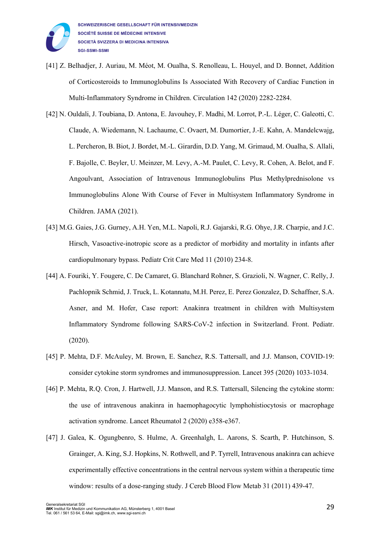

- [41] Z. Belhadjer, J. Auriau, M. Méot, M. Oualha, S. Renolleau, L. Houyel, and D. Bonnet, Addition of Corticosteroids to Immunoglobulins Is Associated With Recovery of Cardiac Function in Multi-Inflammatory Syndrome in Children. Circulation 142 (2020) 2282-2284.
- [42] N. Ouldali, J. Toubiana, D. Antona, E. Javouhey, F. Madhi, M. Lorrot, P.-L. Léger, C. Galeotti, C. Claude, A. Wiedemann, N. Lachaume, C. Ovaert, M. Dumortier, J.-E. Kahn, A. Mandelcwajg, L. Percheron, B. Biot, J. Bordet, M.-L. Girardin, D.D. Yang, M. Grimaud, M. Oualha, S. Allali, F. Bajolle, C. Beyler, U. Meinzer, M. Levy, A.-M. Paulet, C. Levy, R. Cohen, A. Belot, and F. Angoulvant, Association of Intravenous Immunoglobulins Plus Methylprednisolone vs Immunoglobulins Alone With Course of Fever in Multisystem Inflammatory Syndrome in Children. JAMA (2021).
- [43] M.G. Gaies, J.G. Gurney, A.H. Yen, M.L. Napoli, R.J. Gajarski, R.G. Ohye, J.R. Charpie, and J.C. Hirsch, Vasoactive-inotropic score as a predictor of morbidity and mortality in infants after cardiopulmonary bypass. Pediatr Crit Care Med 11 (2010) 234-8.
- [44] A. Fouriki, Y. Fougere, C. De Camaret, G. Blanchard Rohner, S. Grazioli, N. Wagner, C. Relly, J. Pachlopnik Schmid, J. Truck, L. Kotannatu, M.H. Perez, E. Perez Gonzalez, D. Schaffner, S.A. Asner, and M. Hofer, Case report: Anakinra treatment in children with Multisystem Inflammatory Syndrome following SARS-CoV-2 infection in Switzerland. Front. Pediatr. (2020).
- [45] P. Mehta, D.F. McAuley, M. Brown, E. Sanchez, R.S. Tattersall, and J.J. Manson, COVID-19: consider cytokine storm syndromes and immunosuppression. Lancet 395 (2020) 1033-1034.
- [46] P. Mehta, R.Q. Cron, J. Hartwell, J.J. Manson, and R.S. Tattersall, Silencing the cytokine storm: the use of intravenous anakinra in haemophagocytic lymphohistiocytosis or macrophage activation syndrome. Lancet Rheumatol 2 (2020) e358-e367.
- [47] J. Galea, K. Ogungbenro, S. Hulme, A. Greenhalgh, L. Aarons, S. Scarth, P. Hutchinson, S. Grainger, A. King, S.J. Hopkins, N. Rothwell, and P. Tyrrell, Intravenous anakinra can achieve experimentally effective concentrations in the central nervous system within a therapeutic time window: results of a dose-ranging study. J Cereb Blood Flow Metab 31 (2011) 439-47.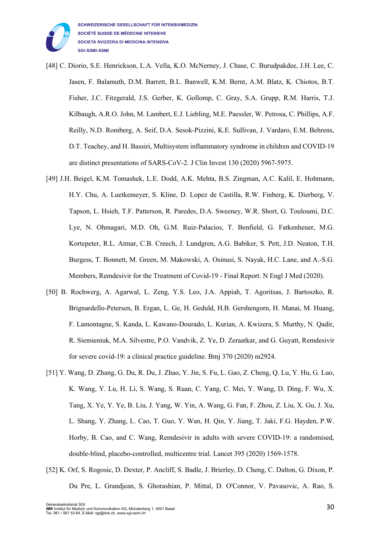

- [48] C. Diorio, S.E. Henrickson, L.A. Vella, K.O. McNerney, J. Chase, C. Burudpakdee, J.H. Lee, C. Jasen, F. Balamuth, D.M. Barrett, B.L. Banwell, K.M. Bernt, A.M. Blatz, K. Chiotos, B.T. Fisher, J.C. Fitzgerald, J.S. Gerber, K. Gollomp, C. Gray, S.A. Grupp, R.M. Harris, T.J. Kilbaugh, A.R.O. John, M. Lambert, E.J. Liebling, M.E. Paessler, W. Petrosa, C. Phillips, A.F. Reilly, N.D. Romberg, A. Seif, D.A. Sesok-Pizzini, K.E. Sullivan, J. Vardaro, E.M. Behrens, D.T. Teachey, and H. Bassiri, Multisystem inflammatory syndrome in children and COVID-19 are distinct presentations of SARS-CoV-2. J Clin Invest 130 (2020) 5967-5975.
- [49] J.H. Beigel, K.M. Tomashek, L.E. Dodd, A.K. Mehta, B.S. Zingman, A.C. Kalil, E. Hohmann, H.Y. Chu, A. Luetkemeyer, S. Kline, D. Lopez de Castilla, R.W. Finberg, K. Dierberg, V. Tapson, L. Hsieh, T.F. Patterson, R. Paredes, D.A. Sweeney, W.R. Short, G. Touloumi, D.C. Lye, N. Ohmagari, M.D. Oh, G.M. Ruiz-Palacios, T. Benfield, G. Fatkenheuer, M.G. Kortepeter, R.L. Atmar, C.B. Creech, J. Lundgren, A.G. Babiker, S. Pett, J.D. Neaton, T.H. Burgess, T. Bonnett, M. Green, M. Makowski, A. Osinusi, S. Nayak, H.C. Lane, and A.-S.G. Members, Remdesivir for the Treatment of Covid-19 - Final Report. N Engl J Med (2020).
- [50] B. Rochwerg, A. Agarwal, L. Zeng, Y.S. Leo, J.A. Appiah, T. Agoritsas, J. Bartoszko, R. Brignardello-Petersen, B. Ergan, L. Ge, H. Geduld, H.B. Gershengorn, H. Manai, M. Huang, F. Lamontagne, S. Kanda, L. Kawano-Dourado, L. Kurian, A. Kwizera, S. Murthy, N. Qadir, R. Siemieniuk, M.A. Silvestre, P.O. Vandvik, Z. Ye, D. Zeraatkar, and G. Guyatt, Remdesivir for severe covid-19: a clinical practice guideline. Bmj 370 (2020) m2924.
- [51] Y. Wang, D. Zhang, G. Du, R. Du, J. Zhao, Y. Jin, S. Fu, L. Gao, Z. Cheng, Q. Lu, Y. Hu, G. Luo, K. Wang, Y. Lu, H. Li, S. Wang, S. Ruan, C. Yang, C. Mei, Y. Wang, D. Ding, F. Wu, X. Tang, X. Ye, Y. Ye, B. Liu, J. Yang, W. Yin, A. Wang, G. Fan, F. Zhou, Z. Liu, X. Gu, J. Xu, L. Shang, Y. Zhang, L. Cao, T. Guo, Y. Wan, H. Qin, Y. Jiang, T. Jaki, F.G. Hayden, P.W. Horby, B. Cao, and C. Wang, Remdesivir in adults with severe COVID-19: a randomised, double-blind, placebo-controlled, multicentre trial. Lancet 395 (2020) 1569-1578.
- [52] K. Orf, S. Rogosic, D. Dexter, P. Ancliff, S. Badle, J. Brierley, D. Cheng, C. Dalton, G. Dixon, P. Du Pre, L. Grandjean, S. Ghorashian, P. Mittal, D. O'Connor, V. Pavasovic, A. Rao, S.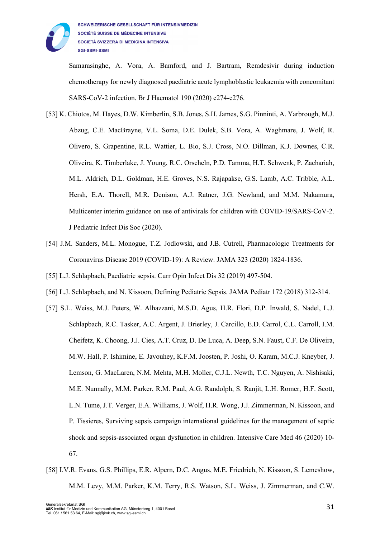

Samarasinghe, A. Vora, A. Bamford, and J. Bartram, Remdesivir during induction chemotherapy for newly diagnosed paediatric acute lymphoblastic leukaemia with concomitant SARS-CoV-2 infection. Br J Haematol 190 (2020) e274-e276.

- [53] K. Chiotos, M. Hayes, D.W. Kimberlin, S.B. Jones, S.H. James, S.G. Pinninti, A. Yarbrough, M.J. Abzug, C.E. MacBrayne, V.L. Soma, D.E. Dulek, S.B. Vora, A. Waghmare, J. Wolf, R. Olivero, S. Grapentine, R.L. Wattier, L. Bio, S.J. Cross, N.O. Dillman, K.J. Downes, C.R. Oliveira, K. Timberlake, J. Young, R.C. Orscheln, P.D. Tamma, H.T. Schwenk, P. Zachariah, M.L. Aldrich, D.L. Goldman, H.E. Groves, N.S. Rajapakse, G.S. Lamb, A.C. Tribble, A.L. Hersh, E.A. Thorell, M.R. Denison, A.J. Ratner, J.G. Newland, and M.M. Nakamura, Multicenter interim guidance on use of antivirals for children with COVID-19/SARS-CoV-2. J Pediatric Infect Dis Soc (2020).
- [54] J.M. Sanders, M.L. Monogue, T.Z. Jodlowski, and J.B. Cutrell, Pharmacologic Treatments for Coronavirus Disease 2019 (COVID-19): A Review. JAMA 323 (2020) 1824-1836.
- [55] L.J. Schlapbach, Paediatric sepsis. Curr Opin Infect Dis 32 (2019) 497-504.
- [56] L.J. Schlapbach, and N. Kissoon, Defining Pediatric Sepsis. JAMA Pediatr 172 (2018) 312-314.
- [57] S.L. Weiss, M.J. Peters, W. Alhazzani, M.S.D. Agus, H.R. Flori, D.P. Inwald, S. Nadel, L.J. Schlapbach, R.C. Tasker, A.C. Argent, J. Brierley, J. Carcillo, E.D. Carrol, C.L. Carroll, I.M. Cheifetz, K. Choong, J.J. Cies, A.T. Cruz, D. De Luca, A. Deep, S.N. Faust, C.F. De Oliveira, M.W. Hall, P. Ishimine, E. Javouhey, K.F.M. Joosten, P. Joshi, O. Karam, M.C.J. Kneyber, J. Lemson, G. MacLaren, N.M. Mehta, M.H. Moller, C.J.L. Newth, T.C. Nguyen, A. Nishisaki, M.E. Nunnally, M.M. Parker, R.M. Paul, A.G. Randolph, S. Ranjit, L.H. Romer, H.F. Scott, L.N. Tume, J.T. Verger, E.A. Williams, J. Wolf, H.R. Wong, J.J. Zimmerman, N. Kissoon, and P. Tissieres, Surviving sepsis campaign international guidelines for the management of septic shock and sepsis-associated organ dysfunction in children. Intensive Care Med 46 (2020) 10- 67.
- [58] I.V.R. Evans, G.S. Phillips, E.R. Alpern, D.C. Angus, M.E. Friedrich, N. Kissoon, S. Lemeshow, M.M. Levy, M.M. Parker, K.M. Terry, R.S. Watson, S.L. Weiss, J. Zimmerman, and C.W.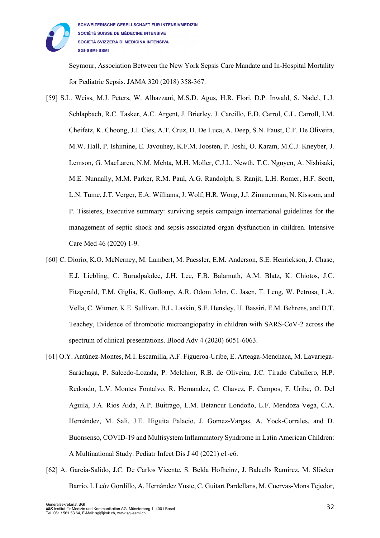

Seymour, Association Between the New York Sepsis Care Mandate and In-Hospital Mortality for Pediatric Sepsis. JAMA 320 (2018) 358-367.

- [59] S.L. Weiss, M.J. Peters, W. Alhazzani, M.S.D. Agus, H.R. Flori, D.P. Inwald, S. Nadel, L.J. Schlapbach, R.C. Tasker, A.C. Argent, J. Brierley, J. Carcillo, E.D. Carrol, C.L. Carroll, I.M. Cheifetz, K. Choong, J.J. Cies, A.T. Cruz, D. De Luca, A. Deep, S.N. Faust, C.F. De Oliveira, M.W. Hall, P. Ishimine, E. Javouhey, K.F.M. Joosten, P. Joshi, O. Karam, M.C.J. Kneyber, J. Lemson, G. MacLaren, N.M. Mehta, M.H. Moller, C.J.L. Newth, T.C. Nguyen, A. Nishisaki, M.E. Nunnally, M.M. Parker, R.M. Paul, A.G. Randolph, S. Ranjit, L.H. Romer, H.F. Scott, L.N. Tume, J.T. Verger, E.A. Williams, J. Wolf, H.R. Wong, J.J. Zimmerman, N. Kissoon, and P. Tissieres, Executive summary: surviving sepsis campaign international guidelines for the management of septic shock and sepsis-associated organ dysfunction in children. Intensive Care Med 46 (2020) 1-9.
- [60] C. Diorio, K.O. McNerney, M. Lambert, M. Paessler, E.M. Anderson, S.E. Henrickson, J. Chase, E.J. Liebling, C. Burudpakdee, J.H. Lee, F.B. Balamuth, A.M. Blatz, K. Chiotos, J.C. Fitzgerald, T.M. Giglia, K. Gollomp, A.R. Odom John, C. Jasen, T. Leng, W. Petrosa, L.A. Vella, C. Witmer, K.E. Sullivan, B.L. Laskin, S.E. Hensley, H. Bassiri, E.M. Behrens, and D.T. Teachey, Evidence of thrombotic microangiopathy in children with SARS-CoV-2 across the spectrum of clinical presentations. Blood Adv 4 (2020) 6051-6063.
- [61] O.Y. Antúnez-Montes, M.I. Escamilla, A.F. Figueroa-Uribe, E. Arteaga-Menchaca, M. Lavariega-Saráchaga, P. Salcedo-Lozada, P. Melchior, R.B. de Oliveira, J.C. Tirado Caballero, H.P. Redondo, L.V. Montes Fontalvo, R. Hernandez, C. Chavez, F. Campos, F. Uribe, O. Del Aguila, J.A. Rios Aida, A.P. Buitrago, L.M. Betancur Londoño, L.F. Mendoza Vega, C.A. Hernández, M. Sali, J.E. Higuita Palacio, J. Gomez-Vargas, A. Yock-Corrales, and D. Buonsenso, COVID-19 and Multisystem Inflammatory Syndrome in Latin American Children: A Multinational Study. Pediatr Infect Dis J 40 (2021) e1-e6.
- [62] A. García-Salido, J.C. De Carlos Vicente, S. Belda Hofheinz, J. Balcells Ramírez, M. Slöcker Barrio, I. Leóz Gordillo, A. Hernández Yuste, C. Guitart Pardellans, M. Cuervas-Mons Tejedor,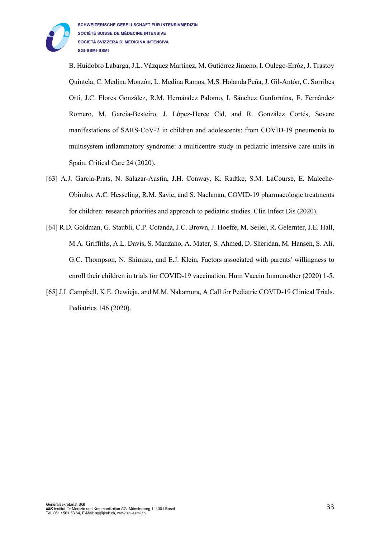

B. Huidobro Labarga, J.L. Vázquez Martínez, M. Gutiérrez Jimeno, I. Oulego-Erróz, J. Trastoy Quintela, C. Medina Monzón, L. Medina Ramos, M.S. Holanda Peña, J. Gil-Antón, C. Sorribes Ortí, J.C. Flores González, R.M. Hernández Palomo, I. Sánchez Ganfornina, E. Fernández Romero, M. García-Besteiro, J. López-Herce Cid, and R. González Cortés, Severe manifestations of SARS-CoV-2 in children and adolescents: from COVID-19 pneumonia to multisystem inflammatory syndrome: a multicentre study in pediatric intensive care units in Spain. Critical Care 24 (2020).

- [63] A.J. Garcia-Prats, N. Salazar-Austin, J.H. Conway, K. Radtke, S.M. LaCourse, E. Maleche-Obimbo, A.C. Hesseling, R.M. Savic, and S. Nachman, COVID-19 pharmacologic treatments for children: research priorities and approach to pediatric studies. Clin Infect Dis (2020).
- [64] R.D. Goldman, G. Staubli, C.P. Cotanda, J.C. Brown, J. Hoeffe, M. Seiler, R. Gelernter, J.E. Hall, M.A. Griffiths, A.L. Davis, S. Manzano, A. Mater, S. Ahmed, D. Sheridan, M. Hansen, S. Ali, G.C. Thompson, N. Shimizu, and E.J. Klein, Factors associated with parents' willingness to enroll their children in trials for COVID-19 vaccination. Hum Vaccin Immunother (2020) 1-5.
- [65] J.I. Campbell, K.E. Ocwieja, and M.M. Nakamura, A Call for Pediatric COVID-19 Clinical Trials. Pediatrics 146 (2020).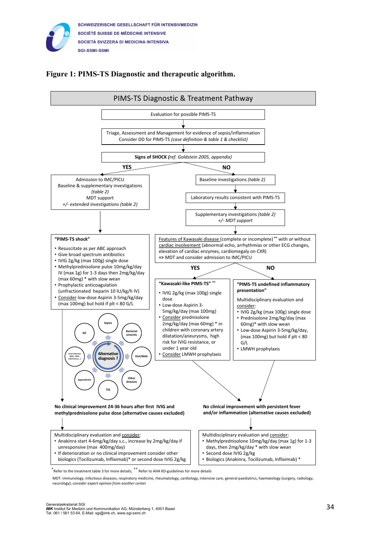

## **Figure 1: PIMS-TS Diagnostic and therapeutic algorithm.**



\* Refer to the treatment table 3 for more details; \*\* Refer to AHA KD-guidelines for more details

MDT: immunology, infectious diseases, respiratory medicine, rheumatology, cardiology, intensive care, general paediatrics, haematology (surgery, radiology, neurology); *consider expert opinion from another center*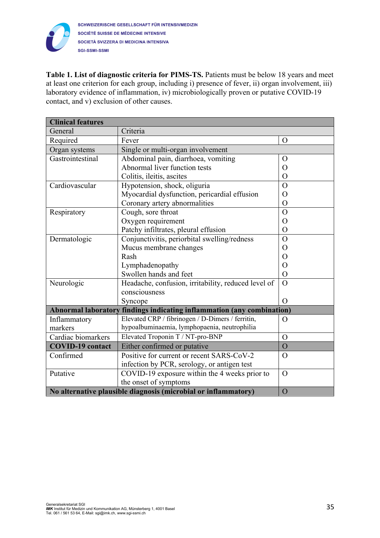

**Table 1. List of diagnostic criteria for PIMS-TS.** Patients must be below 18 years and meet at least one criterion for each group, including i) presence of fever, ii) organ involvement, iii) laboratory evidence of inflammation, iv) microbiologically proven or putative COVID-19 contact, and v) exclusion of other causes.

| <b>Clinical features</b>                                                         |                                                                 |                |  |  |  |
|----------------------------------------------------------------------------------|-----------------------------------------------------------------|----------------|--|--|--|
| General                                                                          | Criteria                                                        |                |  |  |  |
| Required                                                                         | Fever<br>$\Omega$                                               |                |  |  |  |
| Organ systems                                                                    | Single or multi-organ involvement                               |                |  |  |  |
| Gastrointestinal                                                                 | Abdominal pain, diarrhoea, vomiting                             | $\Omega$       |  |  |  |
|                                                                                  | Abnormal liver function tests                                   | $\overline{O}$ |  |  |  |
|                                                                                  | Colitis, ileitis, ascites                                       | $\overline{O}$ |  |  |  |
| Cardiovascular                                                                   | Hypotension, shock, oliguria                                    | $\overline{O}$ |  |  |  |
|                                                                                  | Myocardial dysfunction, pericardial effusion                    | $\overline{O}$ |  |  |  |
|                                                                                  | Coronary artery abnormalities                                   | $\overline{O}$ |  |  |  |
| Respiratory                                                                      | Cough, sore throat                                              | $\overline{O}$ |  |  |  |
|                                                                                  | Oxygen requirement                                              | $\overline{O}$ |  |  |  |
|                                                                                  | Patchy infiltrates, pleural effusion                            | $\mathcal{O}$  |  |  |  |
| Dermatologic                                                                     | Conjunctivitis, periorbital swelling/redness                    |                |  |  |  |
|                                                                                  | Mucus membrane changes                                          | $\overline{O}$ |  |  |  |
|                                                                                  | Rash                                                            | $\mathcal{O}$  |  |  |  |
|                                                                                  | Lymphadenopathy                                                 | $\overline{O}$ |  |  |  |
|                                                                                  | Swollen hands and feet                                          | $\overline{O}$ |  |  |  |
| Neurologic                                                                       | Headache, confusion, irritability, reduced level of             | $\Omega$       |  |  |  |
|                                                                                  | consciousness                                                   |                |  |  |  |
|                                                                                  | Syncope                                                         | $\Omega$       |  |  |  |
| <b>Abnormal laboratory</b><br>findings indicating inflammation (any combination) |                                                                 |                |  |  |  |
| Inflammatory                                                                     | Elevated CRP / fibrinogen / D-Dimers / ferritin,                | $\overline{O}$ |  |  |  |
| markers                                                                          | hypoalbuminaemia, lymphopaenia, neutrophilia                    |                |  |  |  |
| Cardiac biomarkers                                                               | Elevated Troponin T / NT-pro-BNP<br>$\overline{O}$              |                |  |  |  |
| <b>COVID-19</b> contact                                                          | Either confirmed or putative                                    | $\overline{O}$ |  |  |  |
| Confirmed                                                                        | Positive for current or recent SARS-CoV-2                       | $\Omega$       |  |  |  |
|                                                                                  | infection by PCR, serology, or antigen test                     |                |  |  |  |
| Putative                                                                         | COVID-19 exposure within the 4 weeks prior to<br>$\overline{O}$ |                |  |  |  |
|                                                                                  | the onset of symptoms                                           |                |  |  |  |
|                                                                                  | No alternative plausible diagnosis (microbial or inflammatory)  | $\overline{O}$ |  |  |  |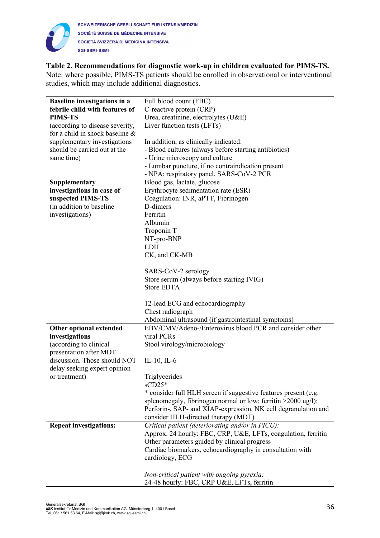

## **Table 2. Recommendations for diagnostic work-up in children evaluated for PIMS-TS.**

Note: where possible, PIMS-TS patients should be enrolled in observational or interventional studies, which may include additional diagnostics.

| <b>Baseline investigations in a</b> | Full blood count (FBC)                                          |
|-------------------------------------|-----------------------------------------------------------------|
| febrile child with features of      | C-reactive protein (CRP)                                        |
| <b>PIMS-TS</b>                      | Urea, creatinine, electrolytes (U&E)                            |
| (according to disease severity,     | Liver function tests (LFTs)                                     |
| for a child in shock baseline &     |                                                                 |
| supplementary investigations        | In addition, as clinically indicated:                           |
| should be carried out at the        | - Blood cultures (always before starting antibiotics)           |
| same time)                          | - Urine microscopy and culture                                  |
|                                     | - Lumbar puncture, if no contraindication present               |
|                                     | - NPA: respiratory panel, SARS-CoV-2 PCR                        |
| Supplementary                       | Blood gas, lactate, glucose                                     |
| investigations in case of           | Erythrocyte sedimentation rate (ESR)                            |
| suspected PIMS-TS                   | Coagulation: INR, aPTT, Fibrinogen                              |
| (in addition to baseline            | D-dimers                                                        |
| investigations)                     | Ferritin                                                        |
|                                     | Albumin                                                         |
|                                     | Troponin T                                                      |
|                                     | NT-pro-BNP                                                      |
|                                     | <b>LDH</b>                                                      |
|                                     | CK, and CK-MB                                                   |
|                                     |                                                                 |
|                                     | SARS-CoV-2 serology                                             |
|                                     | Store serum (always before starting IVIG)                       |
|                                     | <b>Store EDTA</b>                                               |
|                                     |                                                                 |
|                                     | 12-lead ECG and echocardiography                                |
|                                     | Chest radiograph                                                |
|                                     | Abdominal ultrasound (if gastrointestinal symptoms)             |
| Other optional extended             | EBV/CMV/Adeno-/Enterovirus blood PCR and consider other         |
| investigations                      | viral PCRs                                                      |
| (according to clinical              | Stool virology/microbiology                                     |
| presentation after MDT              |                                                                 |
| discussion. Those should NOT        | IL-10, IL- $6$                                                  |
| delay seeking expert opinion        |                                                                 |
| or treatment)                       | Triglycerides                                                   |
|                                     | $SUD25*$                                                        |
|                                     | * consider full HLH screen if suggestive features present (e.g. |
|                                     | splenomegaly, fibrinogen normal or low; ferritin >2000 ug/l):   |
|                                     | Perforin-, SAP- and XIAP-expression, NK cell degranulation and  |
|                                     | consider HLH-directed therapy (MDT)                             |
| <b>Repeat investigations:</b>       | Critical patient (deteriorating and/or in PICU):                |
|                                     | Approx. 24 hourly: FBC, CRP, U&E, LFTs, coagulation, ferritin   |
|                                     | Other parameters guided by clinical progress                    |
|                                     | Cardiac biomarkers, echocardiography in consultation with       |
|                                     | cardiology, ECG                                                 |
|                                     |                                                                 |
|                                     |                                                                 |
|                                     | Non-critical patient with ongoing pyrexia:                      |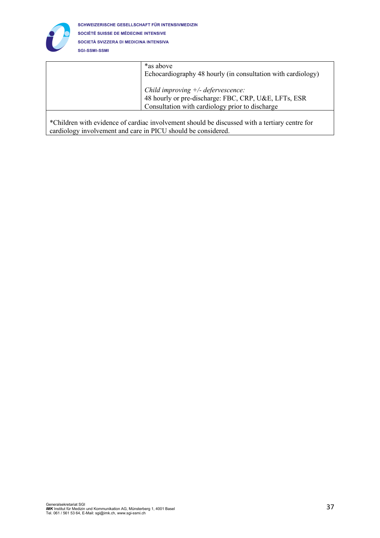

| *as above<br>Echocardiography 48 hourly (in consultation with cardiology) |
|---------------------------------------------------------------------------|
| Child improving $+/-$ defervescence:                                      |
| 48 hourly or pre-discharge: FBC, CRP, U&E, LFTs, ESR                      |
| Consultation with cardiology prior to discharge                           |
|                                                                           |

\*Children with evidence of cardiac involvement should be discussed with a tertiary centre for cardiology involvement and care in PICU should be considered.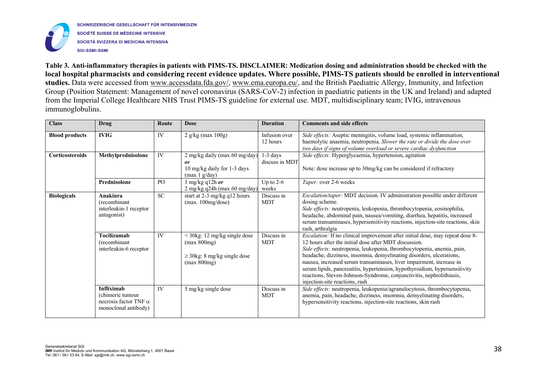

SCHWEIZERISCHE GESELLSCHAFT FÜR INTENSIVMEDIZIN SOCIÉTÉ SUISSE DE MÉDECINE INTENSIVE SOCIETÀ SVIZZERA DI MEDICINA INTENSIVA **SGI-SSMI-SSMI** 

**Table 3. Anti-inflammatory therapies in patients with PIMS-TS. DISCLAIMER: Medication dosing and administration should be checked with the local hospital pharmacists and considering recent evidence updates. Where possible, PIMS-TS patients should be enrolled in interventional studies.** Data were accessed from www.accessdata.fda.gov/, www.ema.europa.eu/, and the British Paediatric Allergy, Immunity, and Infection Group (Position Statement: Management of novel coronavirus (SARS-CoV-2) infection in paediatric patients in the UK and Ireland) and adapted from the Imperial College Healthcare NHS Trust PIMS-TS guideline for external use. MDT, multidisciplinary team; IVIG, intravenous immunoglobulins.

| <b>Class</b>           | Drug                                                                                          | Route     | <b>Dose</b>                                                                                      | <b>Duration</b>              | <b>Comments and side effects</b>                                                                                                                                                                                                                                                                                                                                                                                                                                                                                                                                |
|------------------------|-----------------------------------------------------------------------------------------------|-----------|--------------------------------------------------------------------------------------------------|------------------------------|-----------------------------------------------------------------------------------------------------------------------------------------------------------------------------------------------------------------------------------------------------------------------------------------------------------------------------------------------------------------------------------------------------------------------------------------------------------------------------------------------------------------------------------------------------------------|
| <b>Blood products</b>  | <b>IVIG</b>                                                                                   | IV        | $2$ g/kg (max $100g$ )                                                                           | Infusion over<br>12 hours    | Side effects: Aseptic meningitis, volume load, systemic inflammation,<br>haemolytic anaemia, neutropenia. Slower the rate or divide the dose over<br>two days if signs of volume overload or severe cardiac dysfunction                                                                                                                                                                                                                                                                                                                                         |
| <b>Corticosteroids</b> | Methylprednisolone                                                                            | IV        | 2 mg/kg daily (max 60 mg/day)<br><i>or</i><br>10 mg/kg daily for 1-3 days<br>(max 1 g/day)       | $1-3$ days<br>discuss in MDT | Side effects: Hyperglycaemia, hypertension, agitation<br>Note: dose increase up to 30mg/kg can be considered if refractory                                                                                                                                                                                                                                                                                                                                                                                                                                      |
|                        | Prednisolone                                                                                  | PO        | $\ln \frac{mg}{kg}$ q12h <i>or</i><br>$2$ mg/kg q24h (max 60 mg/day)                             | Up to $2-6$<br>weeks         | Taper: over 2-6 weeks                                                                                                                                                                                                                                                                                                                                                                                                                                                                                                                                           |
| <b>Biologicals</b>     | Anakinra<br>(recombinant<br>interleukin-1 receptor<br>antagonist)                             | <b>SC</b> | start at 2-3 mg/kg q12 hours<br>(max. 100mg/dose)                                                | Discuss in<br><b>MDT</b>     | Escalation/taper: MDT decision. IV administration possible under different<br>dosing scheme.<br>Side effects: neutropenia, leukopenia, thrombocytopenia, eosinophilia,<br>headache, abdominal pain, nausea/vomiting, diarrhea, hepatitis, increased<br>serum transaminases, hypersensitivity reactions, injection-site reactions, skin<br>rash, arthralgia                                                                                                                                                                                                      |
|                        | <b>Tocilizumab</b><br>(recombinant<br>interleukin-6 receptor                                  | IV        | $<$ 30kg: 12 mg/kg single dose<br>(max 800mg)<br>$\geq$ 30kg: 8 mg/kg single dose<br>(max 800mg) | Discuss in<br><b>MDT</b>     | <i>Escalation:</i> If no clinical improvement after initial dose, may repeat dose 8-<br>12 hours after the initial dose after MDT discussion.<br>Side effects: neutropenia, leukopenia, thrombocytopenia, anemia, pain,<br>headache, dizziness, insomnia, demyelinating disorders, ulcerations,<br>nausea, increased serum transaminases, liver impairment, increase in<br>serum lipids, pancreatitis, hypertension, hypothyroidism, hypersensitivity<br>reactions, Steven-Johnson-Syndrome, conjunctivitis, nephrolithiasis,<br>injection-site reactions, rash |
|                        | <b>Infliximab</b><br>(chimeric tumour<br>necrosis factor TNF $\alpha$<br>monoclonal antibody) | IV        | 5 mg/kg single dose                                                                              | Discuss in<br><b>MDT</b>     | Side effects: neutropenia, leukopenia/agranulocytosis, thrombocytopenia,<br>anemia, pain, headache, dizziness, insomnia, demyelinating disorders,<br>hypersensitivity reactions, injection-site reactions, skin rash                                                                                                                                                                                                                                                                                                                                            |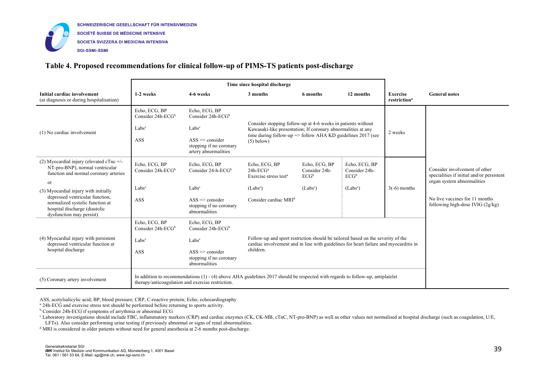

## **Table 4. Proposed recommendations for clinical follow-up of PIMS-TS patients post-discharge**

|                                                                                                                                                                         | Time since hospital discharge                                                                                                                                                           |                                                                                      |                                                                                                                                                                                                                        |                                           |                                           |                                             |                                                                                                          |
|-------------------------------------------------------------------------------------------------------------------------------------------------------------------------|-----------------------------------------------------------------------------------------------------------------------------------------------------------------------------------------|--------------------------------------------------------------------------------------|------------------------------------------------------------------------------------------------------------------------------------------------------------------------------------------------------------------------|-------------------------------------------|-------------------------------------------|---------------------------------------------|----------------------------------------------------------------------------------------------------------|
| Initial cardiac involvement<br>(at diagnosis or during hospitalisation)                                                                                                 | 1-2 weeks                                                                                                                                                                               | 4-6 weeks                                                                            | 3 months                                                                                                                                                                                                               | 6 months                                  | 12 months                                 | <b>Exercise</b><br>restriction <sup>a</sup> | <b>General notes</b>                                                                                     |
|                                                                                                                                                                         | Echo, ECG, BP<br>Consider $24h$ -ECG <sup>b</sup>                                                                                                                                       | Echo, ECG, BP<br>Consider $24h$ -ECG <sup>b</sup>                                    | Consider stopping follow-up at 4-6 weeks in patients without<br>Kawasaki-like presentation; If coronary abnormalities at any<br>time during follow-up $\Rightarrow$ follow AHA KD guidelines 2017 (see<br>$(5)$ below) |                                           |                                           | 2 weeks                                     |                                                                                                          |
| (1) No cardiac involvement                                                                                                                                              | Labs <sup>c</sup>                                                                                                                                                                       | Labs <sup>c</sup>                                                                    |                                                                                                                                                                                                                        |                                           |                                           |                                             |                                                                                                          |
|                                                                                                                                                                         | ASS                                                                                                                                                                                     | $ASS \Rightarrow \text{consider}$<br>stopping if no coronary<br>artery abnormalities |                                                                                                                                                                                                                        |                                           |                                           |                                             |                                                                                                          |
| (2) Myocardial injury (elevated cTnc $+/-$<br>NT-pro-BNP), normal ventricular<br>function and normal coronary arteries                                                  | Echo, ECG, BP<br>Consider 24h-ECG <sup>b</sup>                                                                                                                                          | Echo, ECG, BP<br>Consider $24-h-ECG^b$                                               | Echo, ECG, BP<br>$24h-ECGa$<br>Exercise stress test <sup>a</sup>                                                                                                                                                       | Echo, ECG, BP<br>Consider 24h-<br>$ECG^b$ | Echo, ECG, BP<br>Consider 24h-<br>$ECG^b$ |                                             | Consider involvement of other<br>specialities if initial and/or persistent<br>organ system abnormalities |
| <sub>or</sub>                                                                                                                                                           | Labs <sup>c</sup>                                                                                                                                                                       | Labs <sup>c</sup>                                                                    | (Labs <sup>c</sup> )                                                                                                                                                                                                   | (Labs <sup>c</sup> )                      | $(Labs^c)$                                | $3(-6)$ months                              |                                                                                                          |
| (3) Myocardial injury with initially<br>depressed ventricular function,<br>normalized systolic function at<br>hospital discharge (diastolic<br>dysfunction may persist) | <b>ASS</b>                                                                                                                                                                              | $ASS \Rightarrow \text{consider}$<br>stopping if no coronary<br>abnormalities        | Consider cardiac MRI <sup>d</sup>                                                                                                                                                                                      |                                           |                                           |                                             | No live vaccines for 11 months<br>following high-dose IVIG $(2g/kg)$                                     |
|                                                                                                                                                                         | Echo, ECG, BP<br>Consider $24h$ -ECG <sup>b</sup>                                                                                                                                       | Echo, ECG, BP<br>Consider $24h$ -ECG <sup>b</sup>                                    |                                                                                                                                                                                                                        |                                           |                                           |                                             |                                                                                                          |
| (4) Myocardial injury with persistent<br>depressed ventricular function at<br>hospital discharge                                                                        | Labs <sup>c</sup>                                                                                                                                                                       | Labs <sup>c</sup>                                                                    | Follow-up and sport restriction should be tailored based on the severity of the<br>cardiac involvement and in line with guidelines for heart failure and myocarditis in                                                |                                           |                                           |                                             |                                                                                                          |
|                                                                                                                                                                         | <b>ASS</b>                                                                                                                                                                              | $ASS \Rightarrow \text{consider}$<br>stopping if no coronary<br>abnormalities        | children.                                                                                                                                                                                                              |                                           |                                           |                                             |                                                                                                          |
| (5) Coronary artery involvement                                                                                                                                         | In addition to recommendations $(1)$ - $(4)$ above AHA guidelines 2017 should be respected with regards to follow-up, antiplatelet<br>therapy/anticoagulation and exercise restriction. |                                                                                      |                                                                                                                                                                                                                        |                                           |                                           |                                             |                                                                                                          |

ASS, acetylsalicylic acid; BP, blood pressure; CRP, C-reactive protein; Echo, echocardiography

<sup>a</sup> 24h-ECG and exercise stress test should be performed before returning to sports activity.

<sup>b</sup> Consider 24h-ECG if symptoms of arrythmia or abnormal ECG

<sup>c</sup> Laboratory investigations should include FBC, inflammatory markers (CRP) and cardiac enzymes (CK, CK-MB, cTnC, NT-pro-BNP) as well as other values not normalised at hospital discharge (such as coagulation, U/E, LFTs). Also consider performing urine testing if previously abnormal or signs of renal abnormalities.

<sup>d</sup> MRI is considered in older patients without need for general anesthesia at 2-6 months post-discharge.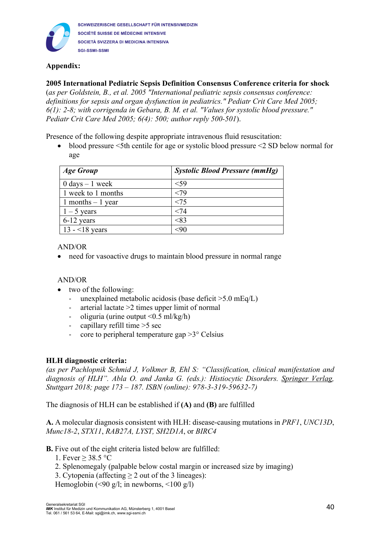

SCHWEIZERISCHE GESELLSCHAFT FÜR INTENSIVMEDIZIN SOCIÉTÉ SUISSE DE MÉDECINE INTENSIVE SOCIETÀ SVIZZERA DI MEDICINA INTENSIVA **SGI-SSMI-SSMI** 

# **Appendix:**

## **2005 International Pediatric Sepsis Definition Consensus Conference criteria for shock**

(*as per Goldstein, B., et al. 2005 "International pediatric sepsis consensus conference: definitions for sepsis and organ dysfunction in pediatrics." Pediatr Crit Care Med 2005; 6(1): 2-8; with corrigenda in Gebara, B. M. et al. "Values for systolic blood pressure." Pediatr Crit Care Med 2005; 6(4): 500; author reply 500-501*).

Presence of the following despite appropriate intravenous fluid resuscitation:

• blood pressure <5th centile for age or systolic blood pressure <2 SD below normal for age

| <b>Age Group</b>                  | <b>Systolic Blood Pressure (mmHg)</b> |
|-----------------------------------|---------------------------------------|
| $0 \text{ days} - 1 \text{ week}$ | ${<}59$                               |
| 1 week to 1 months                | <79                                   |
| 1 months $-1$ year                | < 75                                  |
| $1 - 5$ years                     | < 74                                  |
| 6-12 years                        | < 83                                  |
| 13 - $18$ years                   | 90>                                   |

## AND/OR

• need for vasoactive drugs to maintain blood pressure in normal range

## AND/OR

- two of the following:
	- unexplained metabolic acidosis (base deficit >5.0 mEq/L)
	- arterial lactate  $>2$  times upper limit of normal
	- oliguria (urine output  $\leq 0.5$  ml/kg/h)
	- capillary refill time  $>5$  sec
	- core to peripheral temperature gap  $>3^{\circ}$  Celsius

## **HLH diagnostic criteria:**

*(as per Pachlopnik Schmid J, Volkmer B, Ehl S: "Classification, clinical manifestation and diagnosis of HLH". Abla O. and Janka G. (eds.): Histiocytic Disorders. Springer Verlag, Stuttgart 2018; page 173 – 187. ISBN (online): 978-3-319-59632-7)*

The diagnosis of HLH can be established if **(A)** and **(B)** are fulfilled

**A.** A molecular diagnosis consistent with HLH: disease-causing mutations in *PRF1*, *UNC13D*, *Munc18-2*, *STX11*, *RAB27A, LYST, SH2D1A*, or *BIRC4*

- **B.** Five out of the eight criteria listed below are fulfilled:
	- 1. Fever  $\geq$  38.5 °C
	- 2. Splenomegaly (palpable below costal margin or increased size by imaging)
	- 3. Cytopenia (affecting  $\geq 2$  out of the 3 lineages):

Hemoglobin (<90 g/l; in newborns, <100 g/l)